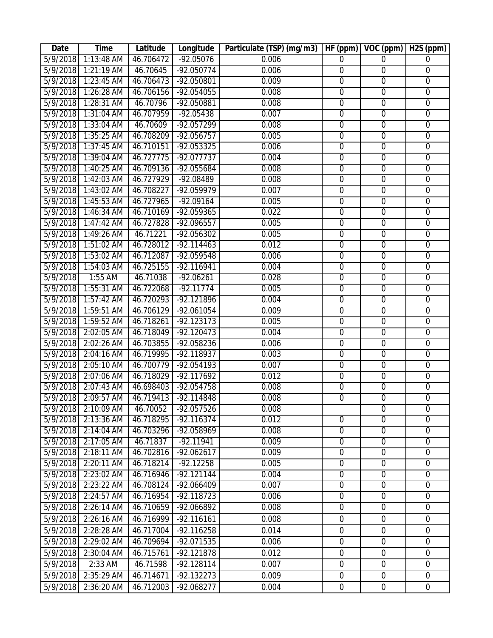| Date              | <b>Time</b>  | Latitude  | Longitude    | Particulate (TSP) (mg/m3) | HF (ppm)         | VOC (ppm)        | $\overline{H2S}$ (ppm) |
|-------------------|--------------|-----------|--------------|---------------------------|------------------|------------------|------------------------|
| 5/9/2018          | 1:13:48 AM   | 46.706472 | $-92.05076$  | 0.006                     | 0                | $\Omega$         | 0                      |
| 5/9/2018          | $1:21:19$ AM | 46.70645  | $-92.050774$ | 0.006                     | $\overline{0}$   | $\overline{0}$   | $\overline{0}$         |
| 5/9/2018          | 1:23:45 AM   | 46.706473 | -92.050801   | 0.009                     | $\boldsymbol{0}$ | $\boldsymbol{0}$ | $\boldsymbol{0}$       |
| 5/9/2018          | 1:26:28 AM   | 46.706156 | $-92.054055$ | 0.008                     | $\overline{0}$   | $\overline{0}$   | $\overline{0}$         |
| 5/9/2018          | $1:28:31$ AM | 46.70796  | $-92.050881$ | 0.008                     | $\overline{0}$   | $\overline{0}$   | $\overline{0}$         |
| 5/9/2018          | $1:31:04$ AM | 46.707959 | $-92.05438$  | 0.007                     | $\overline{0}$   | $\overline{0}$   | $\overline{0}$         |
| 5/9/2018          | $1:33:04$ AM | 46.70609  | $-92.057299$ | 0.008                     | $\overline{0}$   | $\overline{0}$   | $\overline{0}$         |
| 5/9/2018          | $1:35:25$ AM | 46.708209 | $-92.056757$ | 0.005                     | $\overline{0}$   | $\overline{0}$   | $\overline{0}$         |
| 5/9/2018          | $1:37:45$ AM | 46.710151 | $-92.053325$ | 0.006                     | $\overline{0}$   | $\overline{0}$   | $\boldsymbol{0}$       |
| 5/9/2018          | $1:39:04$ AM | 46.727775 | $-92.077737$ | 0.004                     | 0                | $\overline{0}$   | $\overline{0}$         |
| 5/9/2018          | $1:40:25$ AM | 46.709136 | $-92.055684$ | 0.008                     | $\overline{0}$   | $\overline{0}$   | $\overline{0}$         |
| 5/9/2018          | 1:42:03 AM   | 46.727929 | $-92.08489$  | 0.008                     | $\overline{0}$   | $\overline{0}$   | $\overline{0}$         |
| 5/9/2018          | $1:43:02$ AM | 46.708227 | $-92.059979$ | 0.007                     | $\overline{0}$   | $\overline{0}$   | $\overline{0}$         |
| 5/9/2018          | $1:45:53$ AM | 46.727965 | $-92.09164$  | 0.005                     | $\overline{0}$   | $\overline{0}$   | $\overline{0}$         |
| 5/9/2018          | $1:46:34$ AM | 46.710169 | -92.059365   | 0.022                     | $\mathbf 0$      | $\overline{0}$   | $\mathbf 0$            |
| 5/9/2018          | $1:47:42$ AM | 46.727828 | $-92.096557$ | 0.005                     | $\overline{0}$   | $\overline{0}$   | $\overline{0}$         |
| 5/9/2018          | 1:49:26 AM   | 46.71221  | $-92.056302$ | 0.005                     | $\overline{0}$   | $\overline{0}$   | $\overline{0}$         |
| 5/9/2018          | $1:51:02$ AM | 46.728012 | $-92.114463$ | 0.012                     | $\overline{0}$   | $\overline{0}$   | $\overline{0}$         |
| 5/9/2018          | $1:53:02$ AM | 46.712087 | $-92.059548$ | 0.006                     | $\overline{0}$   | $\overline{0}$   | $\overline{0}$         |
| 5/9/2018          | 1:54:03 AM   | 46.725155 | -92.116941   | 0.004                     | $\mathbf 0$      | $\mathbf 0$      | $\boldsymbol{0}$       |
| 5/9/2018          | 1:55 AM      | 46.71038  | $-92.06261$  | 0.028                     | $\overline{0}$   | $\overline{0}$   | $\overline{0}$         |
| 5/9/2018          | $1:55:31$ AM | 46.722068 | $-92.11774$  | 0.005                     | $\overline{0}$   | $\overline{0}$   | $\overline{0}$         |
| 5/9/2018          | $1:57:42$ AM | 46.720293 | $-92.121896$ | 0.004                     | $\overline{0}$   | $\overline{0}$   | $\overline{0}$         |
| 5/9/2018          | $1:59:51$ AM | 46.706129 | $-92.061054$ | 0.009                     | $\overline{0}$   | $\mathbf 0$      | $\boldsymbol{0}$       |
| 5/9/2018          | $1:59:52$ AM | 46.718261 | $-92.123173$ | 0.005                     | $\overline{0}$   | $\overline{0}$   | $\overline{0}$         |
| 5/9/2018          | 2:02:05 AM   | 46.718049 | $-92.120473$ | 0.004                     | $\boldsymbol{0}$ | $\boldsymbol{0}$ | $\boldsymbol{0}$       |
| 5/9/2018          | 2:02:26 AM   | 46.703855 | $-92.058236$ | 0.006                     | $\overline{0}$   | $\overline{0}$   | $\overline{0}$         |
| 5/9/2018          | 2:04:16 AM   | 46.719995 | $-92.118937$ | 0.003                     | $\overline{0}$   | $\overline{0}$   | $\overline{0}$         |
| 5/9/2018          | 2:05:10 AM   | 46.700779 | $-92.054193$ | 0.007                     | $\overline{0}$   | $\overline{0}$   | $\overline{0}$         |
| 5/9/2018          | 2:07:06 AM   | 46.718029 | $-92.117692$ | 0.012                     | $\overline{0}$   | $\overline{0}$   | $\overline{0}$         |
| 5/9/2018          | 2:07:43 AM   | 46.698403 | $-92.054758$ | 0.008                     | $\overline{0}$   | $\overline{0}$   | $\overline{0}$         |
| $\sqrt{5/9/2018}$ | 2:09:57 AM   | 46.719413 | $-92.114848$ | 0.008                     | $\overline{0}$   | $\overline{0}$   | $\overline{0}$         |
| 5/9/2018          | 2:10:09 AM   | 46.70052  | -92.057526   | 0.008                     |                  | $\boldsymbol{0}$ | 0                      |
| 5/9/2018          | 2:13:36 AM   | 46.718295 | $-92.116374$ | 0.012                     | $\overline{0}$   | $\overline{0}$   | $\overline{0}$         |
| 5/9/2018          | 2:14:04 AM   | 46.703296 | $-92.058969$ | 0.008                     | $\overline{0}$   | $\overline{0}$   | $\overline{0}$         |
| 5/9/2018          | 2:17:05 AM   | 46.71837  | $-92.11941$  | 0.009                     | $\overline{0}$   | $\overline{0}$   | $\overline{0}$         |
| 5/9/2018          | 2:18:11 AM   | 46.702816 | $-92.062617$ | 0.009                     | 0                | $\mathbf 0$      | $\mathbf 0$            |
| 5/9/2018          | 2:20:11 AM   | 46.718214 | $-92.12258$  | 0.005                     | $\overline{0}$   | $\overline{0}$   | $\overline{0}$         |
| 5/9/2018          | 2:23:02 AM   | 46.716946 | $-92.121144$ | 0.004                     | $\mathbf 0$      | $\mathbf 0$      | $\boldsymbol{0}$       |
| 5/9/2018          | 2:23:22 AM   | 46.708124 | $-92.066409$ | 0.007                     | $\overline{0}$   | $\overline{0}$   | $\overline{0}$         |
| 5/9/2018          | 2:24:57 AM   | 46.716954 | $-92.118723$ | 0.006                     | $\overline{0}$   | $\overline{0}$   | $\overline{0}$         |
| 5/9/2018          | 2:26:14 AM   | 46.710659 | -92.066892   | 0.008                     | $\overline{0}$   | $\overline{0}$   | $\overline{0}$         |
| 5/9/2018          | 2:26:16 AM   | 46.716999 | $-92.116161$ | 0.008                     | $\boldsymbol{0}$ | $\overline{0}$   | $\boldsymbol{0}$       |
| 5/9/2018          | 2:28:28 AM   | 46.717004 | $-92.116258$ | 0.014                     | $\mathbf 0$      | $\mathbf 0$      | $\mathbf 0$            |
| 5/9/2018          | 2:29:02 AM   | 46.709694 | -92.071535   | 0.006                     | $\mathbf 0$      | $\mathbf 0$      | $\boldsymbol{0}$       |
| 5/9/2018          | 2:30:04 AM   | 46.715761 | $-92.121878$ | 0.012                     | $\mathbf 0$      | $\mathbf 0$      | $\mathbf 0$            |
| 5/9/2018          | 2:33 AM      | 46.71598  | $-92.128114$ | 0.007                     | $\mathbf 0$      | $\mathbf 0$      | $\mathbf 0$            |
| 5/9/2018          | 2:35:29 AM   | 46.714671 | $-92.132273$ | 0.009                     | $\mathbf 0$      | $\overline{0}$   | $\mathbf 0$            |
| 5/9/2018          | 2:36:20 AM   | 46.712003 | $-92.068277$ | 0.004                     | $\boldsymbol{0}$ | $\overline{0}$   | $\boldsymbol{0}$       |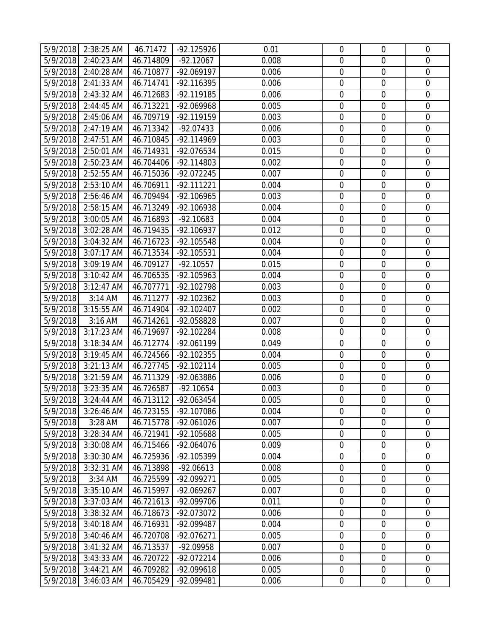|          | 5/9/2018 2:38:25 AM | 46.71472  | $-92.125926$ | 0.01  | $\mathbf 0$      | $\mathbf 0$      | $\overline{0}$   |
|----------|---------------------|-----------|--------------|-------|------------------|------------------|------------------|
| 5/9/2018 | 2:40:23 AM          | 46.714809 | $-92.12067$  | 0.008 | $\mathbf 0$      | $\mathbf 0$      | $\overline{0}$   |
| 5/9/2018 | 2:40:28 AM          | 46.710877 | $-92.069197$ | 0.006 | $\boldsymbol{0}$ | $\mathbf 0$      | $\mathbf 0$      |
| 5/9/2018 | 2:41:33 AM          | 46.714741 | -92.116395   | 0.006 | $\mathbf 0$      | $\mathbf 0$      | $\boldsymbol{0}$ |
| 5/9/2018 | $2:43:32$ AM        | 46.712683 | $-92.119185$ | 0.006 | $\boldsymbol{0}$ | $\mathbf 0$      | $\mathbf 0$      |
| 5/9/2018 | 2:44:45 AM          | 46.713221 | -92.069968   | 0.005 | $\mathbf 0$      | $\mathbf 0$      | $\mathbf 0$      |
| 5/9/2018 | 2:45:06 AM          | 46.709719 | -92.119159   | 0.003 | $\mathbf 0$      | $\mathbf 0$      | $\overline{0}$   |
| 5/9/2018 | 2:47:19 AM          | 46.713342 | $-92.07433$  | 0.006 | $\boldsymbol{0}$ | $\mathbf 0$      | $\mathbf 0$      |
| 5/9/2018 | 2:47:51 AM          | 46.710845 | -92.114969   | 0.003 | $\boldsymbol{0}$ | $\mathbf 0$      | $\mathbf 0$      |
| 5/9/2018 | 2:50:01 AM          | 46.714931 | -92.076534   | 0.015 | $\boldsymbol{0}$ | $\mathbf 0$      | $\boldsymbol{0}$ |
| 5/9/2018 | 2:50:23 AM          | 46.704406 | $-92.114803$ | 0.002 | 0                | $\mathbf 0$      | $\mathbf 0$      |
| 5/9/2018 | 2:52:55 AM          | 46.715036 | -92.072245   | 0.007 | $\boldsymbol{0}$ | $\mathbf 0$      | $\boldsymbol{0}$ |
| 5/9/2018 | 2:53:10 AM          | 46.706911 | $-92.111221$ | 0.004 | $\mathbf 0$      | $\mathbf 0$      | $\boldsymbol{0}$ |
| 5/9/2018 | 2:56:46 AM          | 46.709494 | -92.106965   | 0.003 | $\mathbf 0$      | $\mathbf 0$      | $\mathbf 0$      |
| 5/9/2018 | 2:58:15 AM          | 46.713249 | -92.106938   | 0.004 | $\boldsymbol{0}$ | $\mathbf 0$      | $\mathbf 0$      |
| 5/9/2018 | 3:00:05 AM          | 46.716893 | $-92.10683$  | 0.004 | $\mathbf 0$      | $\mathbf 0$      | $\overline{0}$   |
| 5/9/2018 | 3:02:28 AM          | 46.719435 | -92.106937   | 0.012 | $\mathbf 0$      | $\mathbf 0$      | $\mathbf 0$      |
| 5/9/2018 | 3:04:32 AM          | 46.716723 | -92.105548   | 0.004 | $\mathbf 0$      | $\mathbf 0$      | $\mathbf 0$      |
| 5/9/2018 | 3:07:17 AM          | 46.713534 | $-92.105531$ | 0.004 | $\mathbf 0$      | $\mathbf 0$      | $\mathbf 0$      |
| 5/9/2018 | 3:09:19 AM          | 46.709127 | $-92.10557$  | 0.015 | $\mathbf 0$      | $\mathbf 0$      | $\mathbf 0$      |
| 5/9/2018 | 3:10:42 AM          | 46.706535 | -92.105963   | 0.004 | $\boldsymbol{0}$ | $\mathbf 0$      | $\mathbf 0$      |
| 5/9/2018 | 3:12:47 AM          | 46.707771 | -92.102798   | 0.003 | $\mathbf 0$      | $\mathbf 0$      | $\mathbf 0$      |
| 5/9/2018 | 3:14 AM             | 46.711277 | $-92.102362$ | 0.003 | $\mathbf 0$      | $\mathbf 0$      | $\mathbf 0$      |
| 5/9/2018 | 3:15:55 AM          | 46.714904 | $-92.102407$ | 0.002 | $\boldsymbol{0}$ | $\mathbf 0$      | $\overline{0}$   |
| 5/9/2018 | 3:16 AM             | 46.714261 | -92.058828   | 0.007 | $\mathbf 0$      | $\mathbf 0$      | $\mathbf 0$      |
| 5/9/2018 | 3:17:23 AM          | 46.719697 | -92.102284   | 0.008 | $\boldsymbol{0}$ | $\mathbf 0$      | $\mathbf 0$      |
| 5/9/2018 | 3:18:34 AM          | 46.712774 | -92.061199   | 0.049 | $\boldsymbol{0}$ | $\mathbf 0$      | $\overline{0}$   |
| 5/9/2018 | 3:19:45 AM          | 46.724566 | $-92.102355$ | 0.004 | $\mathbf 0$      | $\mathbf 0$      | $\mathbf 0$      |
| 5/9/2018 | 3:21:13 AM          | 46.727745 | $-92.102114$ | 0.005 | $\mathbf 0$      | $\mathbf 0$      | $\mathbf 0$      |
| 5/9/2018 | 3:21:59 AM          | 46.711329 | -92.063886   | 0.006 | $\mathbf 0$      | $\mathbf 0$      | $\mathbf 0$      |
| 5/9/2018 | 3:23:35 AM          | 46.726587 | $-92.10654$  | 0.003 | $\mathbf 0$      | $\mathbf 0$      | $\mathbf 0$      |
|          | 5/9/2018 3:24:44 AM | 46.713112 | $-92.063454$ | 0.005 | 0                | $\mathbf 0$      | $\overline{0}$   |
| 5/9/2018 | 3:26:46 AM          | 46.723155 | -92.107086   | 0.004 | $\mathbf 0$      | $\mathbf 0$      | $\mathbf 0$      |
| 5/9/2018 | 3:28 AM             | 46.715778 | $-92.061026$ | 0.007 | $\mathbf 0$      | $\mathbf 0$      | $\mathbf 0$      |
| 5/9/2018 | 3:28:34 AM          | 46.721941 | -92.105688   | 0.005 | $\boldsymbol{0}$ | $\boldsymbol{0}$ | $\overline{0}$   |
| 5/9/2018 | 3:30:08 AM          | 46.715466 | $-92.064076$ | 0.009 | $\boldsymbol{0}$ | $\mathbf 0$      | $\mathbf 0$      |
| 5/9/2018 | 3:30:30 AM          | 46.725936 | -92.105399   | 0.004 | $\mathbf 0$      | $\mathbf 0$      | $\overline{0}$   |
| 5/9/2018 | 3:32:31 AM          | 46.713898 | $-92.06613$  | 0.008 | $\boldsymbol{0}$ | $\boldsymbol{0}$ | $\boldsymbol{0}$ |
| 5/9/2018 | 3:34 AM             | 46.725599 | $-92.099271$ | 0.005 | $\boldsymbol{0}$ | $\mathbf 0$      | $\mathbf 0$      |
| 5/9/2018 | 3:35:10 AM          | 46.715997 | -92.069267   | 0.007 | $\mathbf 0$      | $\mathbf 0$      | $\overline{0}$   |
| 5/9/2018 | 3:37:03 AM          | 46.721613 | -92.099706   | 0.011 | $\boldsymbol{0}$ | $\boldsymbol{0}$ | $\boldsymbol{0}$ |
| 5/9/2018 | 3:38:32 AM          | 46.718673 | -92.073072   | 0.006 | $\boldsymbol{0}$ | $\mathbf 0$      | $\boldsymbol{0}$ |
| 5/9/2018 | 3:40:18 AM          | 46.716931 | -92.099487   | 0.004 | $\boldsymbol{0}$ | $\mathbf 0$      | $\mathbf 0$      |
| 5/9/2018 | 3:40:46 AM          | 46.720708 | $-92.076271$ | 0.005 | $\boldsymbol{0}$ | $\mathbf 0$      | $\mathbf 0$      |
| 5/9/2018 | $3:41:32$ AM        | 46.713537 | -92.09958    | 0.007 | $\boldsymbol{0}$ | $\boldsymbol{0}$ | $\boldsymbol{0}$ |
| 5/9/2018 | 3:43:33 AM          | 46.720722 | -92.072214   | 0.006 | $\boldsymbol{0}$ | $\mathbf 0$      | $\overline{0}$   |
| 5/9/2018 | 3:44:21 AM          | 46.709282 | -92.099618   | 0.005 | $\boldsymbol{0}$ | $\boldsymbol{0}$ | $\boldsymbol{0}$ |
| 5/9/2018 | 3:46:03 AM          | 46.705429 | -92.099481   | 0.006 | $\boldsymbol{0}$ | $\boldsymbol{0}$ | $\overline{0}$   |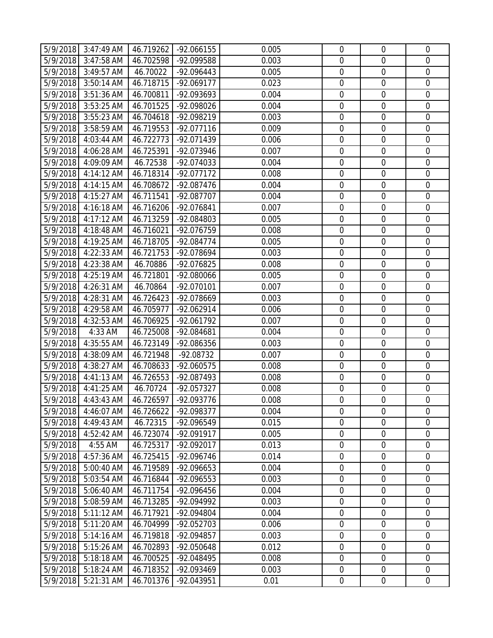|          | 5/9/2018 3:47:49 AM   | 46.719262 | -92.066155   | 0.005 | $\mathbf 0$      | $\overline{0}$   | $\mathbf 0$      |
|----------|-----------------------|-----------|--------------|-------|------------------|------------------|------------------|
|          | 5/9/2018 3:47:58 AM   | 46.702598 | -92.099588   | 0.003 | $\mathbf 0$      | $\mathbf 0$      | $\mathbf 0$      |
| 5/9/2018 | 3:49:57 AM            | 46.70022  | -92.096443   | 0.005 | $\mathbf 0$      | $\mathbf 0$      | $\mathbf 0$      |
| 5/9/2018 | 3:50:14 AM            | 46.718715 | $-92.069177$ | 0.023 | $\mathbf 0$      | $\mathbf 0$      | $\mathbf 0$      |
| 5/9/2018 | 3:51:36 AM            | 46.700811 | -92.093693   | 0.004 | $\mathbf 0$      | $\mathbf 0$      | $\mathbf 0$      |
| 5/9/2018 | 3:53:25 AM            | 46.701525 | -92.098026   | 0.004 | $\mathbf 0$      | $\boldsymbol{0}$ | $\mathbf 0$      |
| 5/9/2018 | 3:55:23 AM            | 46.704618 | -92.098219   | 0.003 | $\mathbf 0$      | $\mathbf 0$      | $\mathbf 0$      |
| 5/9/2018 | 3:58:59 AM            | 46.719553 | $-92.077116$ | 0.009 | $\boldsymbol{0}$ | $\mathbf 0$      | $\mathbf 0$      |
| 5/9/2018 | 4:03:44 AM            | 46.722773 | -92.071439   | 0.006 | $\boldsymbol{0}$ | $\boldsymbol{0}$ | $\mathbf 0$      |
| 5/9/2018 | 4:06:28 AM            | 46.725391 | -92.073946   | 0.007 | $\mathbf 0$      | $\mathbf 0$      | $\mathbf 0$      |
| 5/9/2018 | 4:09:09 AM            | 46.72538  | -92.074033   | 0.004 | $\mathbf 0$      | $\mathbf 0$      | $\mathbf 0$      |
| 5/9/2018 | 4:14:12 AM            | 46.718314 | -92.077172   | 0.008 | $\boldsymbol{0}$ | $\boldsymbol{0}$ | $\mathbf 0$      |
| 5/9/2018 | 4:14:15 AM            | 46.708672 | -92.087476   | 0.004 | $\mathbf 0$      | $\mathbf 0$      | $\mathbf 0$      |
| 5/9/2018 | 4:15:27 AM            | 46.711541 | -92.087707   | 0.004 | $\mathbf 0$      | $\mathbf 0$      | $\mathbf 0$      |
| 5/9/2018 | 4:16:18 AM            | 46.716206 | -92.076841   | 0.007 | $\boldsymbol{0}$ | $\boldsymbol{0}$ | $\mathbf 0$      |
| 5/9/2018 | 4:17:12 AM            | 46.713259 | -92.084803   | 0.005 | $\mathbf 0$      | $\mathbf 0$      | $\mathbf 0$      |
| 5/9/2018 | 4:18:48 AM            | 46.716021 | -92.076759   | 0.008 | $\mathbf 0$      | $\mathbf 0$      | $\mathbf 0$      |
| 5/9/2018 | 4:19:25 AM            | 46.718705 | $-92.084774$ | 0.005 | $\mathbf 0$      | $\mathbf 0$      | $\mathbf 0$      |
| 5/9/2018 | 4:22:33 AM            | 46.721753 | -92.078694   | 0.003 | $\mathbf 0$      | $\mathbf 0$      | $\mathbf 0$      |
| 5/9/2018 | 4:23:38 AM            | 46.70886  | -92.076825   | 0.008 | $\mathbf 0$      | $\mathbf 0$      | $\mathbf 0$      |
| 5/9/2018 | 4:25:19 AM            | 46.721801 | -92.080066   | 0.005 | $\boldsymbol{0}$ | $\mathbf 0$      | $\mathbf 0$      |
| 5/9/2018 | 4:26:31 AM            | 46.70864  | -92.070101   | 0.007 | $\mathbf 0$      | $\mathbf 0$      | $\mathbf 0$      |
| 5/9/2018 | 4:28:31 AM            | 46.726423 | -92.078669   | 0.003 | $\mathbf 0$      | $\mathbf 0$      | $\mathbf 0$      |
| 5/9/2018 | 4:29:58 AM            | 46.705977 | $-92.062914$ | 0.006 | $\mathbf 0$      | $\mathbf 0$      | $\mathbf 0$      |
| 5/9/2018 | 4:32:53 AM            | 46.706925 | -92.061792   | 0.007 | $\mathbf 0$      | $\mathbf 0$      | $\mathbf 0$      |
| 5/9/2018 | 4:33 AM               | 46.725008 | -92.084681   | 0.004 | $\mathbf 0$      | $\mathbf 0$      | $\mathbf 0$      |
| 5/9/2018 | 4:35:55 AM            | 46.723149 | -92.086356   | 0.003 | $\boldsymbol{0}$ | $\boldsymbol{0}$ | $\boldsymbol{0}$ |
| 5/9/2018 | 4:38:09 AM            | 46.721948 | -92.08732    | 0.007 | $\mathbf 0$      | $\mathbf 0$      | $\mathbf 0$      |
| 5/9/2018 | 4:38:27 AM            | 46.708633 | $-92.060575$ | 0.008 | $\mathbf 0$      | $\mathbf 0$      | $\mathbf 0$      |
| 5/9/2018 | 4:41:13 AM            | 46.726553 | -92.087493   | 0.008 | $\mathbf 0$      | $\boldsymbol{0}$ | $\mathbf 0$      |
| 5/9/2018 | 4:41:25 AM            | 46.70724  | -92.057327   | 0.008 | $\mathbf 0$      | $\boldsymbol{0}$ | $\mathbf 0$      |
|          | $5/9/2018$ 4:43:43 AM | 46.726597 | $-92.093776$ | 0.008 | $\mathbf 0$      | $\mathbf 0$      | $\overline{0}$   |
| 5/9/2018 | 4:46:07 AM            | 46.726622 | -92.098377   | 0.004 | $\mathbf 0$      | $\mathbf 0$      | $\mathbf 0$      |
| 5/9/2018 | 4:49:43 AM            | 46.72315  | -92.096549   | 0.015 | $\mathbf 0$      | $\mathbf 0$      | $\mathbf 0$      |
| 5/9/2018 | 4:52:42 AM            | 46.723074 | $-92.091917$ | 0.005 | $\boldsymbol{0}$ | $\boldsymbol{0}$ | $\mathbf 0$      |
| 5/9/2018 | 4:55 AM               | 46.725317 | -92.092017   | 0.013 | $\boldsymbol{0}$ | $\boldsymbol{0}$ | $\mathbf 0$      |
| 5/9/2018 | 4:57:36 AM            | 46.725415 | -92.096746   | 0.014 | $\mathbf 0$      | $\mathbf 0$      | $\overline{0}$   |
| 5/9/2018 | 5:00:40 AM            | 46.719589 | -92.096653   | 0.004 | $\boldsymbol{0}$ | $\boldsymbol{0}$ | $\boldsymbol{0}$ |
| 5/9/2018 | 5:03:54 AM            | 46.716844 | -92.096553   | 0.003 | $\boldsymbol{0}$ | $\boldsymbol{0}$ | $\mathbf 0$      |
| 5/9/2018 | 5:06:40 AM            | 46.711754 | -92.096456   | 0.004 | $\mathbf 0$      | $\mathbf 0$      | $\overline{0}$   |
| 5/9/2018 | 5:08:59 AM            | 46.713285 | -92.094992   | 0.003 | $\boldsymbol{0}$ | $\mathbf 0$      | $\boldsymbol{0}$ |
| 5/9/2018 | 5:11:12 AM            | 46.717921 | -92.094804   | 0.004 | $\boldsymbol{0}$ | $\boldsymbol{0}$ | $\mathbf 0$      |
| 5/9/2018 | 5:11:20 AM            | 46.704999 | -92.052703   | 0.006 | $\mathbf 0$      | $\mathbf 0$      | $\mathbf 0$      |
| 5/9/2018 | 5:14:16 AM            | 46.719818 | -92.094857   | 0.003 | $\boldsymbol{0}$ | $\boldsymbol{0}$ | $\mathbf 0$      |
| 5/9/2018 | 5:15:26 AM            | 46.702893 | -92.050648   | 0.012 | $\boldsymbol{0}$ | $\boldsymbol{0}$ | $\mathbf 0$      |
| 5/9/2018 | 5:18:18 AM            | 46.700525 | -92.048495   | 0.008 | $\mathbf 0$      | $\mathbf 0$      | $\overline{0}$   |
| 5/9/2018 | 5:18:24 AM            | 46.718352 | -92.093469   | 0.003 | $\boldsymbol{0}$ | $\mathbf 0$      | $\mathbf 0$      |
| 5/9/2018 | 5:21:31 AM            | 46.701376 | -92.043951   | 0.01  | $\mathbf 0$      | $\boldsymbol{0}$ | $\overline{0}$   |
|          |                       |           |              |       |                  |                  |                  |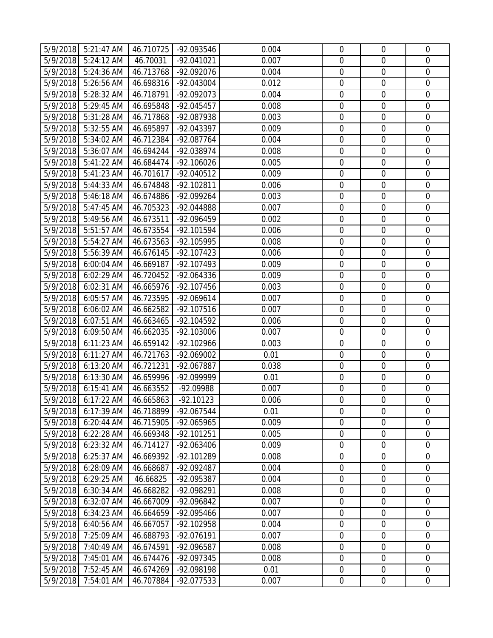|          | 5/9/2018 5:21:47 AM | 46.710725 | -92.093546   | 0.004 | $\mathbf 0$      | $\mathbf 0$      | $\overline{0}$   |
|----------|---------------------|-----------|--------------|-------|------------------|------------------|------------------|
| 5/9/2018 | 5:24:12 AM          | 46.70031  | $-92.041021$ | 0.007 | $\mathbf 0$      | $\mathbf 0$      | $\mathbf 0$      |
|          |                     |           |              | 0.004 | $\boldsymbol{0}$ | $\mathbf 0$      | $\mathbf 0$      |
| 5/9/2018 | 5:24:36 AM          | 46.713768 | -92.092076   |       |                  |                  |                  |
| 5/9/2018 | 5:26:56 AM          | 46.698316 | -92.043004   | 0.012 | $\mathbf 0$      | $\mathbf 0$      | $\boldsymbol{0}$ |
| 5/9/2018 | 5:28:32 AM          | 46.718791 | -92.092073   | 0.004 | 0                | $\mathbf 0$      | $\mathbf 0$      |
| 5/9/2018 | 5:29:45 AM          | 46.695848 | $-92.045457$ | 0.008 | $\boldsymbol{0}$ | $\mathbf 0$      | $\boldsymbol{0}$ |
| 5/9/2018 | 5:31:28 AM          | 46.717868 | -92.087938   | 0.003 | $\mathbf 0$      | $\mathbf 0$      | $\boldsymbol{0}$ |
| 5/9/2018 | 5:32:55 AM          | 46.695897 | -92.043397   | 0.009 | $\boldsymbol{0}$ | $\mathbf 0$      | $\mathbf 0$      |
| 5/9/2018 | 5:34:02 AM          | 46.712384 | $-92.087764$ | 0.004 | $\boldsymbol{0}$ | $\mathbf 0$      | $\boldsymbol{0}$ |
| 5/9/2018 | 5:36:07 AM          | 46.694244 | -92.038974   | 0.008 | $\boldsymbol{0}$ | $\mathbf 0$      | $\boldsymbol{0}$ |
| 5/9/2018 | 5:41:22 AM          | 46.684474 | $-92.106026$ | 0.005 | 0                | $\mathbf 0$      | $\mathbf 0$      |
| 5/9/2018 | 5:41:23 AM          | 46.701617 | $-92.040512$ | 0.009 | $\boldsymbol{0}$ | $\mathbf 0$      | $\boldsymbol{0}$ |
| 5/9/2018 | 5:44:33 AM          | 46.674848 | $-92.102811$ | 0.006 | $\mathbf 0$      | $\boldsymbol{0}$ | $\boldsymbol{0}$ |
| 5/9/2018 | 5:46:18 AM          | 46.674886 | -92.099264   | 0.003 | $\mathbf 0$      | $\mathbf 0$      | $\mathbf 0$      |
| 5/9/2018 | 5:47:45 AM          | 46.705323 | -92.044888   | 0.007 | $\boldsymbol{0}$ | $\mathbf 0$      | $\mathbf 0$      |
| 5/9/2018 | 5:49:56 AM          | 46.673511 | -92.096459   | 0.002 | $\mathbf 0$      | $\mathbf 0$      | $\boldsymbol{0}$ |
| 5/9/2018 | 5:51:57 AM          | 46.673554 | -92.101594   | 0.006 | $\mathbf 0$      | $\mathbf 0$      | $\mathbf 0$      |
| 5/9/2018 | $5:54:27$ AM        | 46.673563 | -92.105995   | 0.008 | $\mathbf 0$      | $\mathbf 0$      | $\mathbf 0$      |
| 5/9/2018 | 5:56:39 AM          | 46.676145 | $-92.107423$ | 0.006 | $\mathbf 0$      | $\mathbf 0$      | $\mathbf 0$      |
| 5/9/2018 | 6:00:04 AM          | 46.669187 | -92.107493   | 0.009 | $\mathbf 0$      | $\mathbf 0$      | $\mathbf 0$      |
| 5/9/2018 | 6:02:29 AM          | 46.720452 | -92.064336   | 0.009 | $\boldsymbol{0}$ | $\mathbf 0$      | $\boldsymbol{0}$ |
| 5/9/2018 | 6:02:31 AM          | 46.665976 | -92.107456   | 0.003 | $\mathbf 0$      | $\mathbf 0$      | $\mathbf 0$      |
| 5/9/2018 | 6:05:57 AM          | 46.723595 | $-92.069614$ | 0.007 | 0                | $\mathbf 0$      | $\mathbf 0$      |
| 5/9/2018 | 6:06:02 AM          | 46.662582 | $-92.107516$ | 0.007 | $\boldsymbol{0}$ | $\mathbf 0$      | $\boldsymbol{0}$ |
| 5/9/2018 | 6:07:51 AM          | 46.663465 | -92.104592   | 0.006 | $\mathbf 0$      | $\mathbf 0$      | $\mathbf 0$      |
| 5/9/2018 | 6:09:50 AM          | 46.662035 | -92.103006   | 0.007 | $\boldsymbol{0}$ | $\mathbf 0$      | $\mathbf 0$      |
| 5/9/2018 | 6:11:23 AM          | 46.659142 | -92.102966   | 0.003 | $\boldsymbol{0}$ | $\mathbf 0$      | $\boldsymbol{0}$ |
| 5/9/2018 | 6:11:27 AM          | 46.721763 | -92.069002   | 0.01  | $\mathbf 0$      | $\mathbf 0$      | $\mathbf 0$      |
| 5/9/2018 | 6:13:20 AM          | 46.721231 | -92.067887   | 0.038 | $\mathbf 0$      | $\mathbf 0$      | $\mathbf 0$      |
| 5/9/2018 | 6:13:30 AM          | 46.659996 | -92.099999   | 0.01  | $\boldsymbol{0}$ | $\mathbf 0$      | $\mathbf 0$      |
| 5/9/2018 | 6:15:41 AM          | 46.663552 | -92.09988    | 0.007 | $\mathbf 0$      | $\mathbf 0$      | $\mathbf 0$      |
|          | 5/9/2018 6:17:22 AM | 46.665863 | $-92.10123$  | 0.006 | 0                | $\mathbf 0$      | $\overline{0}$   |
| 5/9/2018 | 6:17:39 AM          | 46.718899 | -92.067544   | 0.01  | $\mathbf 0$      | $\mathbf 0$      | $\mathbf 0$      |
| 5/9/2018 | 6:20:44 AM          | 46.715905 | -92.065965   | 0.009 | $\mathbf 0$      | $\mathbf 0$      | $\mathbf 0$      |
| 5/9/2018 | 6:22:28 AM          | 46.669348 | -92.101251   | 0.005 | $\boldsymbol{0}$ | $\boldsymbol{0}$ | $\boldsymbol{0}$ |
| 5/9/2018 | 6:23:32 AM          | 46.714127 | -92.063406   | 0.009 | $\mathbf 0$      | $\mathbf 0$      | $\mathbf 0$      |
| 5/9/2018 | 6:25:37 AM          | 46.669392 | -92.101289   | 0.008 | $\mathbf 0$      | $\mathbf 0$      | $\overline{0}$   |
| 5/9/2018 | 6:28:09 AM          | 46.668687 | -92.092487   | 0.004 | $\boldsymbol{0}$ | $\boldsymbol{0}$ | $\boldsymbol{0}$ |
| 5/9/2018 | 6:29:25 AM          | 46.66825  | -92.095387   | 0.004 | $\boldsymbol{0}$ | $\mathbf 0$      | $\mathbf 0$      |
| 5/9/2018 | 6:30:34 AM          | 46.668282 | -92.098291   | 0.008 | $\mathbf 0$      | $\mathbf 0$      | $\overline{0}$   |
| 5/9/2018 | 6:32:07 AM          | 46.667009 | -92.096842   | 0.007 | $\boldsymbol{0}$ | $\boldsymbol{0}$ | $\boldsymbol{0}$ |
| 5/9/2018 | 6:34:23 AM          | 46.664659 | -92.095466   | 0.007 | $\boldsymbol{0}$ | $\mathbf 0$      | 0                |
| 5/9/2018 | 6:40:56 AM          | 46.667057 | -92.102958   | 0.004 | $\boldsymbol{0}$ | $\mathbf 0$      | $\mathbf 0$      |
| 5/9/2018 | 7:25:09 AM          | 46.688793 | -92.076191   | 0.007 | $\boldsymbol{0}$ | $\mathbf 0$      | $\mathbf 0$      |
| 5/9/2018 | 7:40:49 AM          | 46.674591 | -92.096587   | 0.008 | $\boldsymbol{0}$ | $\boldsymbol{0}$ | $\mathbf 0$      |
|          |                     |           |              |       |                  |                  | $\mathbf 0$      |
| 5/9/2018 | 7:45:01 AM          | 46.674476 | -92.097345   | 0.008 | $\boldsymbol{0}$ | $\mathbf 0$      |                  |
| 5/9/2018 | 7:52:45 AM          | 46.674269 | -92.098198   | 0.01  | $\boldsymbol{0}$ | $\boldsymbol{0}$ | $\boldsymbol{0}$ |
| 5/9/2018 | 7:54:01 AM          | 46.707884 | -92.077533   | 0.007 | $\boldsymbol{0}$ | $\boldsymbol{0}$ | $\overline{0}$   |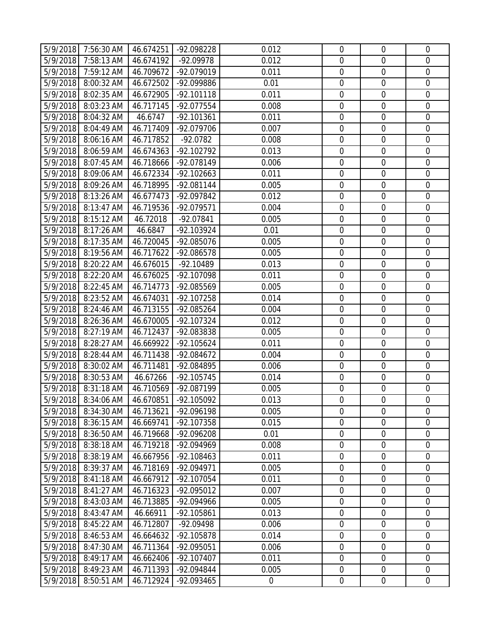| 5/9/2018<br>7:58:13 AM<br>0.012<br>46.674192<br>-92.09978<br>$\mathbf 0$<br>$\mathbf 0$<br>$\mathbf 0$<br>$\boldsymbol{0}$<br>$\mathbf 0$<br>$\mathbf 0$<br>5/9/2018<br>7:59:12 AM<br>46.709672<br>-92.079019<br>0.011<br>46.672502<br>$\mathbf 0$<br>$\mathbf 0$<br>$\boldsymbol{0}$<br>5/9/2018<br>8:00:32 AM<br>-92.099886<br>0.01<br>5/9/2018<br>8:02:35 AM<br>46.672905<br>$-92.101118$<br>0.011<br>0<br>$\mathbf 0$<br>$\mathbf 0$<br>5/9/2018<br>$\mathbf 0$<br>$\mathbf 0$<br>$\mathbf 0$<br>8:03:23 AM<br>46.717145<br>0.008<br>-92.077554<br>5/9/2018<br>46.6747<br>$-92.101361$<br>0.011<br>$\mathbf 0$<br>$\mathbf 0$<br>$\boldsymbol{0}$<br>8:04:32 AM<br>5/9/2018<br>8:04:49 AM<br>46.717409<br>0.007<br>$\boldsymbol{0}$<br>$\mathbf 0$<br>$\mathbf 0$<br>-92.079706<br>$\boldsymbol{0}$<br>$\mathbf 0$<br>$\mathbf 0$<br>5/9/2018<br>8:06:16 AM<br>46.717852<br>$-92.0782$<br>0.008<br>5/9/2018<br>8:06:59 AM<br>46.674363<br>-92.102792<br>0.013<br>$\boldsymbol{0}$<br>$\mathbf 0$<br>$\boldsymbol{0}$<br>0<br>$\mathbf 0$<br>$\mathbf 0$<br>5/9/2018<br>8:07:45 AM<br>46.718666<br>-92.078149<br>0.006<br>5/9/2018<br>8:09:06 AM<br>46.672334<br>$\boldsymbol{0}$<br>$\mathbf 0$<br>$\boldsymbol{0}$<br>$-92.102663$<br>0.011<br>5/9/2018<br>8:09:26 AM<br>46.718995<br>$-92.081144$<br>0.005<br>$\mathbf 0$<br>$\boldsymbol{0}$<br>$\boldsymbol{0}$<br>$\mathbf 0$<br>$\mathbf 0$<br>$\mathbf 0$<br>5/9/2018<br>8:13:26 AM<br>46.677473<br>0.012<br>-92.097842<br>5/9/2018<br>46.719536<br>$\boldsymbol{0}$<br>$\mathbf 0$<br>$\mathbf 0$<br>8:13:47 AM<br>-92.079571<br>0.004<br>5/9/2018<br>8:15:12 AM<br>46.72018<br>-92.07841<br>$\mathbf 0$<br>$\mathbf 0$<br>$\overline{0}$<br>0.005<br>8:17:26 AM<br>$\mathbf 0$<br>$\mathbf 0$<br>$\mathbf 0$<br>5/9/2018<br>46.6847<br>-92.103924<br>0.01<br>5/9/2018<br>8:17:35 AM<br>46.720045<br>-92.085076<br>$\mathbf 0$<br>$\mathbf 0$<br>$\mathbf 0$<br>0.005<br>5/9/2018<br>$\mathbf 0$<br>8:19:56 AM<br>46.717622<br>-92.086578<br>0.005<br>$\mathbf 0$<br>$\mathbf 0$<br>$\mathbf 0$<br>8:20:22 AM<br>0.013<br>$\mathbf 0$<br>$\mathbf 0$<br>5/9/2018<br>46.676015<br>-92.10489<br>5/9/2018<br>8:22:20 AM<br>46.676025<br>-92.107098<br>$\boldsymbol{0}$<br>$\boldsymbol{0}$<br>$\mathbf 0$<br>0.011<br>$\mathbf 0$<br>$\mathbf 0$<br>$\mathbf 0$<br>5/9/2018<br>8:22:45 AM<br>46.714773<br>-92.085569<br>0.005<br>0<br>$\mathbf 0$<br>5/9/2018<br>8:23:52 AM<br>$\mathbf 0$<br>46.674031<br>-92.107258<br>0.014<br>5/9/2018<br>46.713155<br>$\boldsymbol{0}$<br>$\mathbf 0$<br>$\mathbf 0$<br>8:24:46 AM<br>-92.085264<br>0.004<br>5/9/2018<br>0.012<br>$\mathbf 0$<br>$\mathbf 0$<br>$\mathbf 0$<br>8:26:36 AM<br>46.670005<br>-92.107324<br>5/9/2018<br>8:27:19 AM<br>46.712437<br>0.005<br>$\boldsymbol{0}$<br>$\mathbf 0$<br>$\mathbf 0$<br>-92.083838<br>5/9/2018<br>8:28:27 AM<br>46.669922<br>$\boldsymbol{0}$<br>$\mathbf 0$<br>$\overline{0}$<br>-92.105624<br>0.011<br>5/9/2018<br>8:28:44 AM<br>46.711438<br>$\mathbf 0$<br>$\mathbf 0$<br>$\mathbf 0$<br>-92.084672<br>0.004<br>$\mathbf 0$<br>$\mathbf 0$<br>$\mathbf 0$<br>5/9/2018<br>8:30:02 AM<br>46.711481<br>-92.084895<br>0.006<br>5/9/2018<br>8:30:53 AM<br>46.67266<br>$\boldsymbol{0}$<br>$\mathbf 0$<br>$\mathbf 0$<br>$-92.105745$<br>0.014<br>8:31:18 AM<br>46.710569<br>$\mathbf 0$<br>$\mathbf 0$<br>$\mathbf 0$<br>5/9/2018<br>-92.087199<br>0.005<br>5/9/2018 8:34:06 AM<br>46.670851<br>-92.105092<br>0<br>$\mathbf 0$<br>$\overline{0}$<br>0.013<br>$\mathbf 0$<br>5/9/2018<br>8:34:30 AM<br>46.713621<br>-92.096198<br>0.005<br>$\mathbf 0$<br>$\mathbf 0$<br>5/9/2018<br>8:36:15 AM<br>46.669741<br>-92.107358<br>0.015<br>$\mathbf 0$<br>$\mathbf 0$<br>$\mathbf 0$<br>$\boldsymbol{0}$<br>$\boldsymbol{0}$<br>$\boldsymbol{0}$<br>5/9/2018<br>8:36:50 AM<br>46.719668<br>-92.096208<br>0.01<br>5/9/2018<br>8:38:18 AM<br>46.719218<br>-92.094969<br>$\boldsymbol{0}$<br>$\mathbf 0$<br>$\mathbf 0$<br>0.008<br>$\mathbf 0$<br>5/9/2018<br>8:38:19 AM<br>46.667956<br>$-92.108463$<br>0.011<br>$\mathbf 0$<br>$\overline{0}$<br>5/9/2018<br>46.718169<br>$\boldsymbol{0}$<br>$\boldsymbol{0}$<br>$\boldsymbol{0}$<br>8:39:37 AM<br>-92.094971<br>0.005<br>5/9/2018<br>46.667912<br>0.011<br>$\mathbf 0$<br>$\mathbf 0$<br>8:41:18 AM<br>$-92.107054$<br>$\boldsymbol{0}$<br>5/9/2018<br>8:41:27 AM<br>46.716323<br>-92.095012<br>0.007<br>$\mathbf 0$<br>$\mathbf 0$<br>$\overline{0}$<br>5/9/2018<br>46.713885<br>$\boldsymbol{0}$<br>$\boldsymbol{0}$<br>$\boldsymbol{0}$<br>8:43:03 AM<br>-92.094966<br>0.005<br>0.013<br>5/9/2018<br>8:43:47 AM<br>46.66911<br>$-92.105861$<br>$\boldsymbol{0}$<br>$\mathbf 0$<br>$\boldsymbol{0}$<br>5/9/2018<br>8:45:22 AM<br>46.712807<br>-92.09498<br>0.006<br>$\boldsymbol{0}$<br>$\mathbf 0$<br>$\mathbf 0$<br>$\boldsymbol{0}$<br>$\mathbf 0$<br>$\mathbf 0$<br>5/9/2018<br>0.014<br>8:46:53 AM<br>46.664632<br>-92.105878<br>5/9/2018<br>46.711364<br>$\boldsymbol{0}$<br>$\boldsymbol{0}$<br>$\boldsymbol{0}$<br>8:47:30 AM<br>-92.095051<br>0.006<br>5/9/2018<br>8:49:17 AM<br>46.662406<br>-92.107407<br>0.011<br>$\boldsymbol{0}$<br>$\mathbf 0$<br>$\overline{0}$<br>5/9/2018<br>8:49:23 AM<br>46.711393<br>0.005<br>$\boldsymbol{0}$<br>$\boldsymbol{0}$<br>$\boldsymbol{0}$<br>-92.094844<br>$\boldsymbol{0}$<br>$\boldsymbol{0}$<br>$\overline{0}$<br>5/9/2018<br>8:50:51 AM<br>46.712924<br>-92.093465<br>$\boldsymbol{0}$ | 5/9/2018 7:56:30 AM | 46.674251 | -92.098228 | 0.012 | $\mathbf 0$ | $\mathbf 0$ | $\overline{0}$ |
|--------------------------------------------------------------------------------------------------------------------------------------------------------------------------------------------------------------------------------------------------------------------------------------------------------------------------------------------------------------------------------------------------------------------------------------------------------------------------------------------------------------------------------------------------------------------------------------------------------------------------------------------------------------------------------------------------------------------------------------------------------------------------------------------------------------------------------------------------------------------------------------------------------------------------------------------------------------------------------------------------------------------------------------------------------------------------------------------------------------------------------------------------------------------------------------------------------------------------------------------------------------------------------------------------------------------------------------------------------------------------------------------------------------------------------------------------------------------------------------------------------------------------------------------------------------------------------------------------------------------------------------------------------------------------------------------------------------------------------------------------------------------------------------------------------------------------------------------------------------------------------------------------------------------------------------------------------------------------------------------------------------------------------------------------------------------------------------------------------------------------------------------------------------------------------------------------------------------------------------------------------------------------------------------------------------------------------------------------------------------------------------------------------------------------------------------------------------------------------------------------------------------------------------------------------------------------------------------------------------------------------------------------------------------------------------------------------------------------------------------------------------------------------------------------------------------------------------------------------------------------------------------------------------------------------------------------------------------------------------------------------------------------------------------------------------------------------------------------------------------------------------------------------------------------------------------------------------------------------------------------------------------------------------------------------------------------------------------------------------------------------------------------------------------------------------------------------------------------------------------------------------------------------------------------------------------------------------------------------------------------------------------------------------------------------------------------------------------------------------------------------------------------------------------------------------------------------------------------------------------------------------------------------------------------------------------------------------------------------------------------------------------------------------------------------------------------------------------------------------------------------------------------------------------------------------------------------------------------------------------------------------------------------------------------------------------------------------------------------------------------------------------------------------------------------------------------------------------------------------------------------------------------------------------------------------------------------------------------------------------------------------------------------------------------------------------------------------------------------------------------------------------------------------------------------------------------------------------------------------------------------------------------------------------------------------------------------------------------------------------------------------------------------------------------------------------------------------------------------------------------------------------------------------------------------------------------------------------------------------------------------------------------------------------------------------------------------------------------------------------------------------------------------------------------------------------|---------------------|-----------|------------|-------|-------------|-------------|----------------|
|                                                                                                                                                                                                                                                                                                                                                                                                                                                                                                                                                                                                                                                                                                                                                                                                                                                                                                                                                                                                                                                                                                                                                                                                                                                                                                                                                                                                                                                                                                                                                                                                                                                                                                                                                                                                                                                                                                                                                                                                                                                                                                                                                                                                                                                                                                                                                                                                                                                                                                                                                                                                                                                                                                                                                                                                                                                                                                                                                                                                                                                                                                                                                                                                                                                                                                                                                                                                                                                                                                                                                                                                                                                                                                                                                                                                                                                                                                                                                                                                                                                                                                                                                                                                                                                                                                                                                                                                                                                                                                                                                                                                                                                                                                                                                                                                                                                                                                                                                                                                                                                                                                                                                                                                                                                                                                                                                                                                                                            |                     |           |            |       |             |             |                |
|                                                                                                                                                                                                                                                                                                                                                                                                                                                                                                                                                                                                                                                                                                                                                                                                                                                                                                                                                                                                                                                                                                                                                                                                                                                                                                                                                                                                                                                                                                                                                                                                                                                                                                                                                                                                                                                                                                                                                                                                                                                                                                                                                                                                                                                                                                                                                                                                                                                                                                                                                                                                                                                                                                                                                                                                                                                                                                                                                                                                                                                                                                                                                                                                                                                                                                                                                                                                                                                                                                                                                                                                                                                                                                                                                                                                                                                                                                                                                                                                                                                                                                                                                                                                                                                                                                                                                                                                                                                                                                                                                                                                                                                                                                                                                                                                                                                                                                                                                                                                                                                                                                                                                                                                                                                                                                                                                                                                                                            |                     |           |            |       |             |             |                |
|                                                                                                                                                                                                                                                                                                                                                                                                                                                                                                                                                                                                                                                                                                                                                                                                                                                                                                                                                                                                                                                                                                                                                                                                                                                                                                                                                                                                                                                                                                                                                                                                                                                                                                                                                                                                                                                                                                                                                                                                                                                                                                                                                                                                                                                                                                                                                                                                                                                                                                                                                                                                                                                                                                                                                                                                                                                                                                                                                                                                                                                                                                                                                                                                                                                                                                                                                                                                                                                                                                                                                                                                                                                                                                                                                                                                                                                                                                                                                                                                                                                                                                                                                                                                                                                                                                                                                                                                                                                                                                                                                                                                                                                                                                                                                                                                                                                                                                                                                                                                                                                                                                                                                                                                                                                                                                                                                                                                                                            |                     |           |            |       |             |             |                |
|                                                                                                                                                                                                                                                                                                                                                                                                                                                                                                                                                                                                                                                                                                                                                                                                                                                                                                                                                                                                                                                                                                                                                                                                                                                                                                                                                                                                                                                                                                                                                                                                                                                                                                                                                                                                                                                                                                                                                                                                                                                                                                                                                                                                                                                                                                                                                                                                                                                                                                                                                                                                                                                                                                                                                                                                                                                                                                                                                                                                                                                                                                                                                                                                                                                                                                                                                                                                                                                                                                                                                                                                                                                                                                                                                                                                                                                                                                                                                                                                                                                                                                                                                                                                                                                                                                                                                                                                                                                                                                                                                                                                                                                                                                                                                                                                                                                                                                                                                                                                                                                                                                                                                                                                                                                                                                                                                                                                                                            |                     |           |            |       |             |             |                |
|                                                                                                                                                                                                                                                                                                                                                                                                                                                                                                                                                                                                                                                                                                                                                                                                                                                                                                                                                                                                                                                                                                                                                                                                                                                                                                                                                                                                                                                                                                                                                                                                                                                                                                                                                                                                                                                                                                                                                                                                                                                                                                                                                                                                                                                                                                                                                                                                                                                                                                                                                                                                                                                                                                                                                                                                                                                                                                                                                                                                                                                                                                                                                                                                                                                                                                                                                                                                                                                                                                                                                                                                                                                                                                                                                                                                                                                                                                                                                                                                                                                                                                                                                                                                                                                                                                                                                                                                                                                                                                                                                                                                                                                                                                                                                                                                                                                                                                                                                                                                                                                                                                                                                                                                                                                                                                                                                                                                                                            |                     |           |            |       |             |             |                |
|                                                                                                                                                                                                                                                                                                                                                                                                                                                                                                                                                                                                                                                                                                                                                                                                                                                                                                                                                                                                                                                                                                                                                                                                                                                                                                                                                                                                                                                                                                                                                                                                                                                                                                                                                                                                                                                                                                                                                                                                                                                                                                                                                                                                                                                                                                                                                                                                                                                                                                                                                                                                                                                                                                                                                                                                                                                                                                                                                                                                                                                                                                                                                                                                                                                                                                                                                                                                                                                                                                                                                                                                                                                                                                                                                                                                                                                                                                                                                                                                                                                                                                                                                                                                                                                                                                                                                                                                                                                                                                                                                                                                                                                                                                                                                                                                                                                                                                                                                                                                                                                                                                                                                                                                                                                                                                                                                                                                                                            |                     |           |            |       |             |             |                |
|                                                                                                                                                                                                                                                                                                                                                                                                                                                                                                                                                                                                                                                                                                                                                                                                                                                                                                                                                                                                                                                                                                                                                                                                                                                                                                                                                                                                                                                                                                                                                                                                                                                                                                                                                                                                                                                                                                                                                                                                                                                                                                                                                                                                                                                                                                                                                                                                                                                                                                                                                                                                                                                                                                                                                                                                                                                                                                                                                                                                                                                                                                                                                                                                                                                                                                                                                                                                                                                                                                                                                                                                                                                                                                                                                                                                                                                                                                                                                                                                                                                                                                                                                                                                                                                                                                                                                                                                                                                                                                                                                                                                                                                                                                                                                                                                                                                                                                                                                                                                                                                                                                                                                                                                                                                                                                                                                                                                                                            |                     |           |            |       |             |             |                |
|                                                                                                                                                                                                                                                                                                                                                                                                                                                                                                                                                                                                                                                                                                                                                                                                                                                                                                                                                                                                                                                                                                                                                                                                                                                                                                                                                                                                                                                                                                                                                                                                                                                                                                                                                                                                                                                                                                                                                                                                                                                                                                                                                                                                                                                                                                                                                                                                                                                                                                                                                                                                                                                                                                                                                                                                                                                                                                                                                                                                                                                                                                                                                                                                                                                                                                                                                                                                                                                                                                                                                                                                                                                                                                                                                                                                                                                                                                                                                                                                                                                                                                                                                                                                                                                                                                                                                                                                                                                                                                                                                                                                                                                                                                                                                                                                                                                                                                                                                                                                                                                                                                                                                                                                                                                                                                                                                                                                                                            |                     |           |            |       |             |             |                |
|                                                                                                                                                                                                                                                                                                                                                                                                                                                                                                                                                                                                                                                                                                                                                                                                                                                                                                                                                                                                                                                                                                                                                                                                                                                                                                                                                                                                                                                                                                                                                                                                                                                                                                                                                                                                                                                                                                                                                                                                                                                                                                                                                                                                                                                                                                                                                                                                                                                                                                                                                                                                                                                                                                                                                                                                                                                                                                                                                                                                                                                                                                                                                                                                                                                                                                                                                                                                                                                                                                                                                                                                                                                                                                                                                                                                                                                                                                                                                                                                                                                                                                                                                                                                                                                                                                                                                                                                                                                                                                                                                                                                                                                                                                                                                                                                                                                                                                                                                                                                                                                                                                                                                                                                                                                                                                                                                                                                                                            |                     |           |            |       |             |             |                |
|                                                                                                                                                                                                                                                                                                                                                                                                                                                                                                                                                                                                                                                                                                                                                                                                                                                                                                                                                                                                                                                                                                                                                                                                                                                                                                                                                                                                                                                                                                                                                                                                                                                                                                                                                                                                                                                                                                                                                                                                                                                                                                                                                                                                                                                                                                                                                                                                                                                                                                                                                                                                                                                                                                                                                                                                                                                                                                                                                                                                                                                                                                                                                                                                                                                                                                                                                                                                                                                                                                                                                                                                                                                                                                                                                                                                                                                                                                                                                                                                                                                                                                                                                                                                                                                                                                                                                                                                                                                                                                                                                                                                                                                                                                                                                                                                                                                                                                                                                                                                                                                                                                                                                                                                                                                                                                                                                                                                                                            |                     |           |            |       |             |             |                |
|                                                                                                                                                                                                                                                                                                                                                                                                                                                                                                                                                                                                                                                                                                                                                                                                                                                                                                                                                                                                                                                                                                                                                                                                                                                                                                                                                                                                                                                                                                                                                                                                                                                                                                                                                                                                                                                                                                                                                                                                                                                                                                                                                                                                                                                                                                                                                                                                                                                                                                                                                                                                                                                                                                                                                                                                                                                                                                                                                                                                                                                                                                                                                                                                                                                                                                                                                                                                                                                                                                                                                                                                                                                                                                                                                                                                                                                                                                                                                                                                                                                                                                                                                                                                                                                                                                                                                                                                                                                                                                                                                                                                                                                                                                                                                                                                                                                                                                                                                                                                                                                                                                                                                                                                                                                                                                                                                                                                                                            |                     |           |            |       |             |             |                |
|                                                                                                                                                                                                                                                                                                                                                                                                                                                                                                                                                                                                                                                                                                                                                                                                                                                                                                                                                                                                                                                                                                                                                                                                                                                                                                                                                                                                                                                                                                                                                                                                                                                                                                                                                                                                                                                                                                                                                                                                                                                                                                                                                                                                                                                                                                                                                                                                                                                                                                                                                                                                                                                                                                                                                                                                                                                                                                                                                                                                                                                                                                                                                                                                                                                                                                                                                                                                                                                                                                                                                                                                                                                                                                                                                                                                                                                                                                                                                                                                                                                                                                                                                                                                                                                                                                                                                                                                                                                                                                                                                                                                                                                                                                                                                                                                                                                                                                                                                                                                                                                                                                                                                                                                                                                                                                                                                                                                                                            |                     |           |            |       |             |             |                |
|                                                                                                                                                                                                                                                                                                                                                                                                                                                                                                                                                                                                                                                                                                                                                                                                                                                                                                                                                                                                                                                                                                                                                                                                                                                                                                                                                                                                                                                                                                                                                                                                                                                                                                                                                                                                                                                                                                                                                                                                                                                                                                                                                                                                                                                                                                                                                                                                                                                                                                                                                                                                                                                                                                                                                                                                                                                                                                                                                                                                                                                                                                                                                                                                                                                                                                                                                                                                                                                                                                                                                                                                                                                                                                                                                                                                                                                                                                                                                                                                                                                                                                                                                                                                                                                                                                                                                                                                                                                                                                                                                                                                                                                                                                                                                                                                                                                                                                                                                                                                                                                                                                                                                                                                                                                                                                                                                                                                                                            |                     |           |            |       |             |             |                |
|                                                                                                                                                                                                                                                                                                                                                                                                                                                                                                                                                                                                                                                                                                                                                                                                                                                                                                                                                                                                                                                                                                                                                                                                                                                                                                                                                                                                                                                                                                                                                                                                                                                                                                                                                                                                                                                                                                                                                                                                                                                                                                                                                                                                                                                                                                                                                                                                                                                                                                                                                                                                                                                                                                                                                                                                                                                                                                                                                                                                                                                                                                                                                                                                                                                                                                                                                                                                                                                                                                                                                                                                                                                                                                                                                                                                                                                                                                                                                                                                                                                                                                                                                                                                                                                                                                                                                                                                                                                                                                                                                                                                                                                                                                                                                                                                                                                                                                                                                                                                                                                                                                                                                                                                                                                                                                                                                                                                                                            |                     |           |            |       |             |             |                |
|                                                                                                                                                                                                                                                                                                                                                                                                                                                                                                                                                                                                                                                                                                                                                                                                                                                                                                                                                                                                                                                                                                                                                                                                                                                                                                                                                                                                                                                                                                                                                                                                                                                                                                                                                                                                                                                                                                                                                                                                                                                                                                                                                                                                                                                                                                                                                                                                                                                                                                                                                                                                                                                                                                                                                                                                                                                                                                                                                                                                                                                                                                                                                                                                                                                                                                                                                                                                                                                                                                                                                                                                                                                                                                                                                                                                                                                                                                                                                                                                                                                                                                                                                                                                                                                                                                                                                                                                                                                                                                                                                                                                                                                                                                                                                                                                                                                                                                                                                                                                                                                                                                                                                                                                                                                                                                                                                                                                                                            |                     |           |            |       |             |             |                |
|                                                                                                                                                                                                                                                                                                                                                                                                                                                                                                                                                                                                                                                                                                                                                                                                                                                                                                                                                                                                                                                                                                                                                                                                                                                                                                                                                                                                                                                                                                                                                                                                                                                                                                                                                                                                                                                                                                                                                                                                                                                                                                                                                                                                                                                                                                                                                                                                                                                                                                                                                                                                                                                                                                                                                                                                                                                                                                                                                                                                                                                                                                                                                                                                                                                                                                                                                                                                                                                                                                                                                                                                                                                                                                                                                                                                                                                                                                                                                                                                                                                                                                                                                                                                                                                                                                                                                                                                                                                                                                                                                                                                                                                                                                                                                                                                                                                                                                                                                                                                                                                                                                                                                                                                                                                                                                                                                                                                                                            |                     |           |            |       |             |             |                |
|                                                                                                                                                                                                                                                                                                                                                                                                                                                                                                                                                                                                                                                                                                                                                                                                                                                                                                                                                                                                                                                                                                                                                                                                                                                                                                                                                                                                                                                                                                                                                                                                                                                                                                                                                                                                                                                                                                                                                                                                                                                                                                                                                                                                                                                                                                                                                                                                                                                                                                                                                                                                                                                                                                                                                                                                                                                                                                                                                                                                                                                                                                                                                                                                                                                                                                                                                                                                                                                                                                                                                                                                                                                                                                                                                                                                                                                                                                                                                                                                                                                                                                                                                                                                                                                                                                                                                                                                                                                                                                                                                                                                                                                                                                                                                                                                                                                                                                                                                                                                                                                                                                                                                                                                                                                                                                                                                                                                                                            |                     |           |            |       |             |             |                |
|                                                                                                                                                                                                                                                                                                                                                                                                                                                                                                                                                                                                                                                                                                                                                                                                                                                                                                                                                                                                                                                                                                                                                                                                                                                                                                                                                                                                                                                                                                                                                                                                                                                                                                                                                                                                                                                                                                                                                                                                                                                                                                                                                                                                                                                                                                                                                                                                                                                                                                                                                                                                                                                                                                                                                                                                                                                                                                                                                                                                                                                                                                                                                                                                                                                                                                                                                                                                                                                                                                                                                                                                                                                                                                                                                                                                                                                                                                                                                                                                                                                                                                                                                                                                                                                                                                                                                                                                                                                                                                                                                                                                                                                                                                                                                                                                                                                                                                                                                                                                                                                                                                                                                                                                                                                                                                                                                                                                                                            |                     |           |            |       |             |             |                |
|                                                                                                                                                                                                                                                                                                                                                                                                                                                                                                                                                                                                                                                                                                                                                                                                                                                                                                                                                                                                                                                                                                                                                                                                                                                                                                                                                                                                                                                                                                                                                                                                                                                                                                                                                                                                                                                                                                                                                                                                                                                                                                                                                                                                                                                                                                                                                                                                                                                                                                                                                                                                                                                                                                                                                                                                                                                                                                                                                                                                                                                                                                                                                                                                                                                                                                                                                                                                                                                                                                                                                                                                                                                                                                                                                                                                                                                                                                                                                                                                                                                                                                                                                                                                                                                                                                                                                                                                                                                                                                                                                                                                                                                                                                                                                                                                                                                                                                                                                                                                                                                                                                                                                                                                                                                                                                                                                                                                                                            |                     |           |            |       |             |             |                |
|                                                                                                                                                                                                                                                                                                                                                                                                                                                                                                                                                                                                                                                                                                                                                                                                                                                                                                                                                                                                                                                                                                                                                                                                                                                                                                                                                                                                                                                                                                                                                                                                                                                                                                                                                                                                                                                                                                                                                                                                                                                                                                                                                                                                                                                                                                                                                                                                                                                                                                                                                                                                                                                                                                                                                                                                                                                                                                                                                                                                                                                                                                                                                                                                                                                                                                                                                                                                                                                                                                                                                                                                                                                                                                                                                                                                                                                                                                                                                                                                                                                                                                                                                                                                                                                                                                                                                                                                                                                                                                                                                                                                                                                                                                                                                                                                                                                                                                                                                                                                                                                                                                                                                                                                                                                                                                                                                                                                                                            |                     |           |            |       |             |             |                |
|                                                                                                                                                                                                                                                                                                                                                                                                                                                                                                                                                                                                                                                                                                                                                                                                                                                                                                                                                                                                                                                                                                                                                                                                                                                                                                                                                                                                                                                                                                                                                                                                                                                                                                                                                                                                                                                                                                                                                                                                                                                                                                                                                                                                                                                                                                                                                                                                                                                                                                                                                                                                                                                                                                                                                                                                                                                                                                                                                                                                                                                                                                                                                                                                                                                                                                                                                                                                                                                                                                                                                                                                                                                                                                                                                                                                                                                                                                                                                                                                                                                                                                                                                                                                                                                                                                                                                                                                                                                                                                                                                                                                                                                                                                                                                                                                                                                                                                                                                                                                                                                                                                                                                                                                                                                                                                                                                                                                                                            |                     |           |            |       |             |             |                |
|                                                                                                                                                                                                                                                                                                                                                                                                                                                                                                                                                                                                                                                                                                                                                                                                                                                                                                                                                                                                                                                                                                                                                                                                                                                                                                                                                                                                                                                                                                                                                                                                                                                                                                                                                                                                                                                                                                                                                                                                                                                                                                                                                                                                                                                                                                                                                                                                                                                                                                                                                                                                                                                                                                                                                                                                                                                                                                                                                                                                                                                                                                                                                                                                                                                                                                                                                                                                                                                                                                                                                                                                                                                                                                                                                                                                                                                                                                                                                                                                                                                                                                                                                                                                                                                                                                                                                                                                                                                                                                                                                                                                                                                                                                                                                                                                                                                                                                                                                                                                                                                                                                                                                                                                                                                                                                                                                                                                                                            |                     |           |            |       |             |             |                |
|                                                                                                                                                                                                                                                                                                                                                                                                                                                                                                                                                                                                                                                                                                                                                                                                                                                                                                                                                                                                                                                                                                                                                                                                                                                                                                                                                                                                                                                                                                                                                                                                                                                                                                                                                                                                                                                                                                                                                                                                                                                                                                                                                                                                                                                                                                                                                                                                                                                                                                                                                                                                                                                                                                                                                                                                                                                                                                                                                                                                                                                                                                                                                                                                                                                                                                                                                                                                                                                                                                                                                                                                                                                                                                                                                                                                                                                                                                                                                                                                                                                                                                                                                                                                                                                                                                                                                                                                                                                                                                                                                                                                                                                                                                                                                                                                                                                                                                                                                                                                                                                                                                                                                                                                                                                                                                                                                                                                                                            |                     |           |            |       |             |             |                |
|                                                                                                                                                                                                                                                                                                                                                                                                                                                                                                                                                                                                                                                                                                                                                                                                                                                                                                                                                                                                                                                                                                                                                                                                                                                                                                                                                                                                                                                                                                                                                                                                                                                                                                                                                                                                                                                                                                                                                                                                                                                                                                                                                                                                                                                                                                                                                                                                                                                                                                                                                                                                                                                                                                                                                                                                                                                                                                                                                                                                                                                                                                                                                                                                                                                                                                                                                                                                                                                                                                                                                                                                                                                                                                                                                                                                                                                                                                                                                                                                                                                                                                                                                                                                                                                                                                                                                                                                                                                                                                                                                                                                                                                                                                                                                                                                                                                                                                                                                                                                                                                                                                                                                                                                                                                                                                                                                                                                                                            |                     |           |            |       |             |             |                |
|                                                                                                                                                                                                                                                                                                                                                                                                                                                                                                                                                                                                                                                                                                                                                                                                                                                                                                                                                                                                                                                                                                                                                                                                                                                                                                                                                                                                                                                                                                                                                                                                                                                                                                                                                                                                                                                                                                                                                                                                                                                                                                                                                                                                                                                                                                                                                                                                                                                                                                                                                                                                                                                                                                                                                                                                                                                                                                                                                                                                                                                                                                                                                                                                                                                                                                                                                                                                                                                                                                                                                                                                                                                                                                                                                                                                                                                                                                                                                                                                                                                                                                                                                                                                                                                                                                                                                                                                                                                                                                                                                                                                                                                                                                                                                                                                                                                                                                                                                                                                                                                                                                                                                                                                                                                                                                                                                                                                                                            |                     |           |            |       |             |             |                |
|                                                                                                                                                                                                                                                                                                                                                                                                                                                                                                                                                                                                                                                                                                                                                                                                                                                                                                                                                                                                                                                                                                                                                                                                                                                                                                                                                                                                                                                                                                                                                                                                                                                                                                                                                                                                                                                                                                                                                                                                                                                                                                                                                                                                                                                                                                                                                                                                                                                                                                                                                                                                                                                                                                                                                                                                                                                                                                                                                                                                                                                                                                                                                                                                                                                                                                                                                                                                                                                                                                                                                                                                                                                                                                                                                                                                                                                                                                                                                                                                                                                                                                                                                                                                                                                                                                                                                                                                                                                                                                                                                                                                                                                                                                                                                                                                                                                                                                                                                                                                                                                                                                                                                                                                                                                                                                                                                                                                                                            |                     |           |            |       |             |             |                |
|                                                                                                                                                                                                                                                                                                                                                                                                                                                                                                                                                                                                                                                                                                                                                                                                                                                                                                                                                                                                                                                                                                                                                                                                                                                                                                                                                                                                                                                                                                                                                                                                                                                                                                                                                                                                                                                                                                                                                                                                                                                                                                                                                                                                                                                                                                                                                                                                                                                                                                                                                                                                                                                                                                                                                                                                                                                                                                                                                                                                                                                                                                                                                                                                                                                                                                                                                                                                                                                                                                                                                                                                                                                                                                                                                                                                                                                                                                                                                                                                                                                                                                                                                                                                                                                                                                                                                                                                                                                                                                                                                                                                                                                                                                                                                                                                                                                                                                                                                                                                                                                                                                                                                                                                                                                                                                                                                                                                                                            |                     |           |            |       |             |             |                |
|                                                                                                                                                                                                                                                                                                                                                                                                                                                                                                                                                                                                                                                                                                                                                                                                                                                                                                                                                                                                                                                                                                                                                                                                                                                                                                                                                                                                                                                                                                                                                                                                                                                                                                                                                                                                                                                                                                                                                                                                                                                                                                                                                                                                                                                                                                                                                                                                                                                                                                                                                                                                                                                                                                                                                                                                                                                                                                                                                                                                                                                                                                                                                                                                                                                                                                                                                                                                                                                                                                                                                                                                                                                                                                                                                                                                                                                                                                                                                                                                                                                                                                                                                                                                                                                                                                                                                                                                                                                                                                                                                                                                                                                                                                                                                                                                                                                                                                                                                                                                                                                                                                                                                                                                                                                                                                                                                                                                                                            |                     |           |            |       |             |             |                |
|                                                                                                                                                                                                                                                                                                                                                                                                                                                                                                                                                                                                                                                                                                                                                                                                                                                                                                                                                                                                                                                                                                                                                                                                                                                                                                                                                                                                                                                                                                                                                                                                                                                                                                                                                                                                                                                                                                                                                                                                                                                                                                                                                                                                                                                                                                                                                                                                                                                                                                                                                                                                                                                                                                                                                                                                                                                                                                                                                                                                                                                                                                                                                                                                                                                                                                                                                                                                                                                                                                                                                                                                                                                                                                                                                                                                                                                                                                                                                                                                                                                                                                                                                                                                                                                                                                                                                                                                                                                                                                                                                                                                                                                                                                                                                                                                                                                                                                                                                                                                                                                                                                                                                                                                                                                                                                                                                                                                                                            |                     |           |            |       |             |             |                |
|                                                                                                                                                                                                                                                                                                                                                                                                                                                                                                                                                                                                                                                                                                                                                                                                                                                                                                                                                                                                                                                                                                                                                                                                                                                                                                                                                                                                                                                                                                                                                                                                                                                                                                                                                                                                                                                                                                                                                                                                                                                                                                                                                                                                                                                                                                                                                                                                                                                                                                                                                                                                                                                                                                                                                                                                                                                                                                                                                                                                                                                                                                                                                                                                                                                                                                                                                                                                                                                                                                                                                                                                                                                                                                                                                                                                                                                                                                                                                                                                                                                                                                                                                                                                                                                                                                                                                                                                                                                                                                                                                                                                                                                                                                                                                                                                                                                                                                                                                                                                                                                                                                                                                                                                                                                                                                                                                                                                                                            |                     |           |            |       |             |             |                |
|                                                                                                                                                                                                                                                                                                                                                                                                                                                                                                                                                                                                                                                                                                                                                                                                                                                                                                                                                                                                                                                                                                                                                                                                                                                                                                                                                                                                                                                                                                                                                                                                                                                                                                                                                                                                                                                                                                                                                                                                                                                                                                                                                                                                                                                                                                                                                                                                                                                                                                                                                                                                                                                                                                                                                                                                                                                                                                                                                                                                                                                                                                                                                                                                                                                                                                                                                                                                                                                                                                                                                                                                                                                                                                                                                                                                                                                                                                                                                                                                                                                                                                                                                                                                                                                                                                                                                                                                                                                                                                                                                                                                                                                                                                                                                                                                                                                                                                                                                                                                                                                                                                                                                                                                                                                                                                                                                                                                                                            |                     |           |            |       |             |             |                |
|                                                                                                                                                                                                                                                                                                                                                                                                                                                                                                                                                                                                                                                                                                                                                                                                                                                                                                                                                                                                                                                                                                                                                                                                                                                                                                                                                                                                                                                                                                                                                                                                                                                                                                                                                                                                                                                                                                                                                                                                                                                                                                                                                                                                                                                                                                                                                                                                                                                                                                                                                                                                                                                                                                                                                                                                                                                                                                                                                                                                                                                                                                                                                                                                                                                                                                                                                                                                                                                                                                                                                                                                                                                                                                                                                                                                                                                                                                                                                                                                                                                                                                                                                                                                                                                                                                                                                                                                                                                                                                                                                                                                                                                                                                                                                                                                                                                                                                                                                                                                                                                                                                                                                                                                                                                                                                                                                                                                                                            |                     |           |            |       |             |             |                |
|                                                                                                                                                                                                                                                                                                                                                                                                                                                                                                                                                                                                                                                                                                                                                                                                                                                                                                                                                                                                                                                                                                                                                                                                                                                                                                                                                                                                                                                                                                                                                                                                                                                                                                                                                                                                                                                                                                                                                                                                                                                                                                                                                                                                                                                                                                                                                                                                                                                                                                                                                                                                                                                                                                                                                                                                                                                                                                                                                                                                                                                                                                                                                                                                                                                                                                                                                                                                                                                                                                                                                                                                                                                                                                                                                                                                                                                                                                                                                                                                                                                                                                                                                                                                                                                                                                                                                                                                                                                                                                                                                                                                                                                                                                                                                                                                                                                                                                                                                                                                                                                                                                                                                                                                                                                                                                                                                                                                                                            |                     |           |            |       |             |             |                |
|                                                                                                                                                                                                                                                                                                                                                                                                                                                                                                                                                                                                                                                                                                                                                                                                                                                                                                                                                                                                                                                                                                                                                                                                                                                                                                                                                                                                                                                                                                                                                                                                                                                                                                                                                                                                                                                                                                                                                                                                                                                                                                                                                                                                                                                                                                                                                                                                                                                                                                                                                                                                                                                                                                                                                                                                                                                                                                                                                                                                                                                                                                                                                                                                                                                                                                                                                                                                                                                                                                                                                                                                                                                                                                                                                                                                                                                                                                                                                                                                                                                                                                                                                                                                                                                                                                                                                                                                                                                                                                                                                                                                                                                                                                                                                                                                                                                                                                                                                                                                                                                                                                                                                                                                                                                                                                                                                                                                                                            |                     |           |            |       |             |             |                |
|                                                                                                                                                                                                                                                                                                                                                                                                                                                                                                                                                                                                                                                                                                                                                                                                                                                                                                                                                                                                                                                                                                                                                                                                                                                                                                                                                                                                                                                                                                                                                                                                                                                                                                                                                                                                                                                                                                                                                                                                                                                                                                                                                                                                                                                                                                                                                                                                                                                                                                                                                                                                                                                                                                                                                                                                                                                                                                                                                                                                                                                                                                                                                                                                                                                                                                                                                                                                                                                                                                                                                                                                                                                                                                                                                                                                                                                                                                                                                                                                                                                                                                                                                                                                                                                                                                                                                                                                                                                                                                                                                                                                                                                                                                                                                                                                                                                                                                                                                                                                                                                                                                                                                                                                                                                                                                                                                                                                                                            |                     |           |            |       |             |             |                |
|                                                                                                                                                                                                                                                                                                                                                                                                                                                                                                                                                                                                                                                                                                                                                                                                                                                                                                                                                                                                                                                                                                                                                                                                                                                                                                                                                                                                                                                                                                                                                                                                                                                                                                                                                                                                                                                                                                                                                                                                                                                                                                                                                                                                                                                                                                                                                                                                                                                                                                                                                                                                                                                                                                                                                                                                                                                                                                                                                                                                                                                                                                                                                                                                                                                                                                                                                                                                                                                                                                                                                                                                                                                                                                                                                                                                                                                                                                                                                                                                                                                                                                                                                                                                                                                                                                                                                                                                                                                                                                                                                                                                                                                                                                                                                                                                                                                                                                                                                                                                                                                                                                                                                                                                                                                                                                                                                                                                                                            |                     |           |            |       |             |             |                |
|                                                                                                                                                                                                                                                                                                                                                                                                                                                                                                                                                                                                                                                                                                                                                                                                                                                                                                                                                                                                                                                                                                                                                                                                                                                                                                                                                                                                                                                                                                                                                                                                                                                                                                                                                                                                                                                                                                                                                                                                                                                                                                                                                                                                                                                                                                                                                                                                                                                                                                                                                                                                                                                                                                                                                                                                                                                                                                                                                                                                                                                                                                                                                                                                                                                                                                                                                                                                                                                                                                                                                                                                                                                                                                                                                                                                                                                                                                                                                                                                                                                                                                                                                                                                                                                                                                                                                                                                                                                                                                                                                                                                                                                                                                                                                                                                                                                                                                                                                                                                                                                                                                                                                                                                                                                                                                                                                                                                                                            |                     |           |            |       |             |             |                |
|                                                                                                                                                                                                                                                                                                                                                                                                                                                                                                                                                                                                                                                                                                                                                                                                                                                                                                                                                                                                                                                                                                                                                                                                                                                                                                                                                                                                                                                                                                                                                                                                                                                                                                                                                                                                                                                                                                                                                                                                                                                                                                                                                                                                                                                                                                                                                                                                                                                                                                                                                                                                                                                                                                                                                                                                                                                                                                                                                                                                                                                                                                                                                                                                                                                                                                                                                                                                                                                                                                                                                                                                                                                                                                                                                                                                                                                                                                                                                                                                                                                                                                                                                                                                                                                                                                                                                                                                                                                                                                                                                                                                                                                                                                                                                                                                                                                                                                                                                                                                                                                                                                                                                                                                                                                                                                                                                                                                                                            |                     |           |            |       |             |             |                |
|                                                                                                                                                                                                                                                                                                                                                                                                                                                                                                                                                                                                                                                                                                                                                                                                                                                                                                                                                                                                                                                                                                                                                                                                                                                                                                                                                                                                                                                                                                                                                                                                                                                                                                                                                                                                                                                                                                                                                                                                                                                                                                                                                                                                                                                                                                                                                                                                                                                                                                                                                                                                                                                                                                                                                                                                                                                                                                                                                                                                                                                                                                                                                                                                                                                                                                                                                                                                                                                                                                                                                                                                                                                                                                                                                                                                                                                                                                                                                                                                                                                                                                                                                                                                                                                                                                                                                                                                                                                                                                                                                                                                                                                                                                                                                                                                                                                                                                                                                                                                                                                                                                                                                                                                                                                                                                                                                                                                                                            |                     |           |            |       |             |             |                |
|                                                                                                                                                                                                                                                                                                                                                                                                                                                                                                                                                                                                                                                                                                                                                                                                                                                                                                                                                                                                                                                                                                                                                                                                                                                                                                                                                                                                                                                                                                                                                                                                                                                                                                                                                                                                                                                                                                                                                                                                                                                                                                                                                                                                                                                                                                                                                                                                                                                                                                                                                                                                                                                                                                                                                                                                                                                                                                                                                                                                                                                                                                                                                                                                                                                                                                                                                                                                                                                                                                                                                                                                                                                                                                                                                                                                                                                                                                                                                                                                                                                                                                                                                                                                                                                                                                                                                                                                                                                                                                                                                                                                                                                                                                                                                                                                                                                                                                                                                                                                                                                                                                                                                                                                                                                                                                                                                                                                                                            |                     |           |            |       |             |             |                |
|                                                                                                                                                                                                                                                                                                                                                                                                                                                                                                                                                                                                                                                                                                                                                                                                                                                                                                                                                                                                                                                                                                                                                                                                                                                                                                                                                                                                                                                                                                                                                                                                                                                                                                                                                                                                                                                                                                                                                                                                                                                                                                                                                                                                                                                                                                                                                                                                                                                                                                                                                                                                                                                                                                                                                                                                                                                                                                                                                                                                                                                                                                                                                                                                                                                                                                                                                                                                                                                                                                                                                                                                                                                                                                                                                                                                                                                                                                                                                                                                                                                                                                                                                                                                                                                                                                                                                                                                                                                                                                                                                                                                                                                                                                                                                                                                                                                                                                                                                                                                                                                                                                                                                                                                                                                                                                                                                                                                                                            |                     |           |            |       |             |             |                |
|                                                                                                                                                                                                                                                                                                                                                                                                                                                                                                                                                                                                                                                                                                                                                                                                                                                                                                                                                                                                                                                                                                                                                                                                                                                                                                                                                                                                                                                                                                                                                                                                                                                                                                                                                                                                                                                                                                                                                                                                                                                                                                                                                                                                                                                                                                                                                                                                                                                                                                                                                                                                                                                                                                                                                                                                                                                                                                                                                                                                                                                                                                                                                                                                                                                                                                                                                                                                                                                                                                                                                                                                                                                                                                                                                                                                                                                                                                                                                                                                                                                                                                                                                                                                                                                                                                                                                                                                                                                                                                                                                                                                                                                                                                                                                                                                                                                                                                                                                                                                                                                                                                                                                                                                                                                                                                                                                                                                                                            |                     |           |            |       |             |             |                |
|                                                                                                                                                                                                                                                                                                                                                                                                                                                                                                                                                                                                                                                                                                                                                                                                                                                                                                                                                                                                                                                                                                                                                                                                                                                                                                                                                                                                                                                                                                                                                                                                                                                                                                                                                                                                                                                                                                                                                                                                                                                                                                                                                                                                                                                                                                                                                                                                                                                                                                                                                                                                                                                                                                                                                                                                                                                                                                                                                                                                                                                                                                                                                                                                                                                                                                                                                                                                                                                                                                                                                                                                                                                                                                                                                                                                                                                                                                                                                                                                                                                                                                                                                                                                                                                                                                                                                                                                                                                                                                                                                                                                                                                                                                                                                                                                                                                                                                                                                                                                                                                                                                                                                                                                                                                                                                                                                                                                                                            |                     |           |            |       |             |             |                |
|                                                                                                                                                                                                                                                                                                                                                                                                                                                                                                                                                                                                                                                                                                                                                                                                                                                                                                                                                                                                                                                                                                                                                                                                                                                                                                                                                                                                                                                                                                                                                                                                                                                                                                                                                                                                                                                                                                                                                                                                                                                                                                                                                                                                                                                                                                                                                                                                                                                                                                                                                                                                                                                                                                                                                                                                                                                                                                                                                                                                                                                                                                                                                                                                                                                                                                                                                                                                                                                                                                                                                                                                                                                                                                                                                                                                                                                                                                                                                                                                                                                                                                                                                                                                                                                                                                                                                                                                                                                                                                                                                                                                                                                                                                                                                                                                                                                                                                                                                                                                                                                                                                                                                                                                                                                                                                                                                                                                                                            |                     |           |            |       |             |             |                |
|                                                                                                                                                                                                                                                                                                                                                                                                                                                                                                                                                                                                                                                                                                                                                                                                                                                                                                                                                                                                                                                                                                                                                                                                                                                                                                                                                                                                                                                                                                                                                                                                                                                                                                                                                                                                                                                                                                                                                                                                                                                                                                                                                                                                                                                                                                                                                                                                                                                                                                                                                                                                                                                                                                                                                                                                                                                                                                                                                                                                                                                                                                                                                                                                                                                                                                                                                                                                                                                                                                                                                                                                                                                                                                                                                                                                                                                                                                                                                                                                                                                                                                                                                                                                                                                                                                                                                                                                                                                                                                                                                                                                                                                                                                                                                                                                                                                                                                                                                                                                                                                                                                                                                                                                                                                                                                                                                                                                                                            |                     |           |            |       |             |             |                |
|                                                                                                                                                                                                                                                                                                                                                                                                                                                                                                                                                                                                                                                                                                                                                                                                                                                                                                                                                                                                                                                                                                                                                                                                                                                                                                                                                                                                                                                                                                                                                                                                                                                                                                                                                                                                                                                                                                                                                                                                                                                                                                                                                                                                                                                                                                                                                                                                                                                                                                                                                                                                                                                                                                                                                                                                                                                                                                                                                                                                                                                                                                                                                                                                                                                                                                                                                                                                                                                                                                                                                                                                                                                                                                                                                                                                                                                                                                                                                                                                                                                                                                                                                                                                                                                                                                                                                                                                                                                                                                                                                                                                                                                                                                                                                                                                                                                                                                                                                                                                                                                                                                                                                                                                                                                                                                                                                                                                                                            |                     |           |            |       |             |             |                |
|                                                                                                                                                                                                                                                                                                                                                                                                                                                                                                                                                                                                                                                                                                                                                                                                                                                                                                                                                                                                                                                                                                                                                                                                                                                                                                                                                                                                                                                                                                                                                                                                                                                                                                                                                                                                                                                                                                                                                                                                                                                                                                                                                                                                                                                                                                                                                                                                                                                                                                                                                                                                                                                                                                                                                                                                                                                                                                                                                                                                                                                                                                                                                                                                                                                                                                                                                                                                                                                                                                                                                                                                                                                                                                                                                                                                                                                                                                                                                                                                                                                                                                                                                                                                                                                                                                                                                                                                                                                                                                                                                                                                                                                                                                                                                                                                                                                                                                                                                                                                                                                                                                                                                                                                                                                                                                                                                                                                                                            |                     |           |            |       |             |             |                |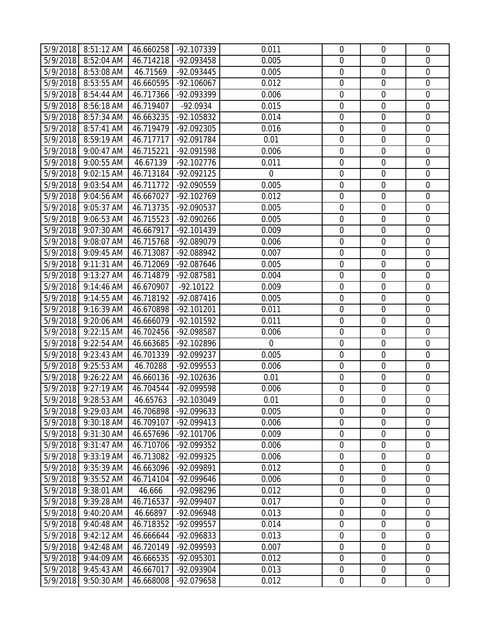|          | 5/9/2018 8:51:12 AM | 46.660258 | -92.107339   | 0.011            | $\mathbf 0$      | $\mathbf 0$      | $\overline{0}$   |
|----------|---------------------|-----------|--------------|------------------|------------------|------------------|------------------|
| 5/9/2018 | 8:52:04 AM          | 46.714218 | -92.093458   | 0.005            | $\mathbf 0$      | $\mathbf 0$      | $\overline{0}$   |
| 5/9/2018 | 8:53:08 AM          | 46.71569  | -92.093445   | 0.005            | $\boldsymbol{0}$ | $\mathbf 0$      | $\mathbf 0$      |
| 5/9/2018 | 8:53:55 AM          | 46.660595 | $-92.106067$ | 0.012            | $\mathbf 0$      | $\mathbf 0$      | $\boldsymbol{0}$ |
| 5/9/2018 | 8:54:44 AM          | 46.717366 | -92.093399   | 0.006            | $\boldsymbol{0}$ | $\mathbf 0$      | $\mathbf 0$      |
| 5/9/2018 | 8:56:18 AM          | 46.719407 | $-92.0934$   | 0.015            | $\boldsymbol{0}$ | $\mathbf 0$      | $\boldsymbol{0}$ |
| 5/9/2018 | 8:57:34 AM          | 46.663235 | -92.105832   | 0.014            | $\mathbf 0$      | $\mathbf 0$      | $\overline{0}$   |
| 5/9/2018 | 8:57:41 AM          | 46.719479 | -92.092305   | 0.016            | $\boldsymbol{0}$ | $\boldsymbol{0}$ | $\mathbf 0$      |
| 5/9/2018 | 8:59:19 AM          | 46.717717 | -92.091784   | 0.01             | $\boldsymbol{0}$ | $\mathbf 0$      | $\boldsymbol{0}$ |
| 5/9/2018 | 9:00:47 AM          | 46.715221 | -92.091598   | 0.006            | $\boldsymbol{0}$ | $\mathbf 0$      | $\boldsymbol{0}$ |
| 5/9/2018 | 9:00:55 AM          | 46.67139  | $-92.102776$ | 0.011            | 0                | $\mathbf 0$      | $\mathbf 0$      |
| 5/9/2018 | 9:02:15 AM          | 46.713184 | -92.092125   | $\boldsymbol{0}$ | $\boldsymbol{0}$ | $\mathbf 0$      | $\boldsymbol{0}$ |
| 5/9/2018 | 9:03:54 AM          | 46.711772 | -92.090559   | 0.005            | $\mathbf 0$      | $\mathbf 0$      | $\boldsymbol{0}$ |
| 5/9/2018 | 9:04:56 AM          | 46.667027 | $-92.102769$ | 0.012            | $\mathbf 0$      | $\mathbf 0$      | $\mathbf 0$      |
| 5/9/2018 | 9:05:37 AM          | 46.713735 | -92.090537   | 0.005            | $\boldsymbol{0}$ | $\mathbf 0$      | $\mathbf 0$      |
| 5/9/2018 | 9:06:53 AM          | 46.715523 | -92.090266   | 0.005            | $\mathbf 0$      | $\mathbf 0$      | $\boldsymbol{0}$ |
| 5/9/2018 | 9:07:30 AM          | 46.667917 | $-92.101439$ | 0.009            | $\mathbf 0$      | $\mathbf 0$      | $\mathbf 0$      |
| 5/9/2018 | $9:08:07$ AM        | 46.715768 | -92.089079   | 0.006            | $\mathbf 0$      | $\mathbf 0$      | $\mathbf 0$      |
| 5/9/2018 | 9:09:45 AM          | 46.713087 | -92.088942   | 0.007            | $\mathbf 0$      | $\mathbf 0$      | $\mathbf 0$      |
| 5/9/2018 | 9:11:31 AM          | 46.712069 | -92.087646   | 0.005            | $\mathbf 0$      | $\mathbf 0$      | $\mathbf 0$      |
| 5/9/2018 | 9:13:27 AM          | 46.714879 | -92.087581   | 0.004            | $\boldsymbol{0}$ | $\boldsymbol{0}$ | $\boldsymbol{0}$ |
| 5/9/2018 | 9:14:46 AM          | 46.670907 | $-92.10122$  | 0.009            | $\mathbf 0$      | $\mathbf 0$      | $\mathbf 0$      |
| 5/9/2018 | 9:14:55 AM          | 46.718192 | $-92.087416$ | 0.005            | $\mathbf 0$      | $\mathbf 0$      | $\mathbf 0$      |
| 5/9/2018 | 9:16:39 AM          | 46.670898 | $-92.101201$ | 0.011            | $\boldsymbol{0}$ | $\mathbf 0$      | $\overline{0}$   |
| 5/9/2018 | 9:20:06 AM          | 46.666079 | -92.101592   | 0.011            | $\mathbf 0$      | $\mathbf 0$      | $\mathbf 0$      |
| 5/9/2018 | 9:22:15 AM          | 46.702456 | -92.098587   | 0.006            | $\boldsymbol{0}$ | $\mathbf 0$      | $\mathbf 0$      |
| 5/9/2018 | 9:22:54 AM          | 46.663685 | -92.102896   | $\mathbf 0$      | $\boldsymbol{0}$ | $\mathbf 0$      | $\overline{0}$   |
| 5/9/2018 | 9:23:43 AM          | 46.701339 | -92.099237   | 0.005            | $\mathbf 0$      | $\mathbf 0$      | $\mathbf 0$      |
| 5/9/2018 | 9:25:53 AM          | 46.70288  | -92.099553   | 0.006            | $\mathbf 0$      | $\mathbf 0$      | $\mathbf 0$      |
| 5/9/2018 | 9:26:22 AM          | 46.660136 | $-92.102636$ | 0.01             | $\boldsymbol{0}$ | $\mathbf 0$      | $\mathbf 0$      |
| 5/9/2018 | 9:27:19 AM          | 46.704544 | -92.099598   | 0.006            | $\mathbf 0$      | $\mathbf 0$      | $\mathbf 0$      |
|          | 5/9/2018 9:28:53 AM | 46.65763  | -92.103049   | 0.01             | $\mathbf 0$      | $\mathbf 0$      | $\overline{0}$   |
|          | 9:29:03 AM          |           | -92.099633   | 0.005            | $\mathbf 0$      | $\mathbf 0$      | $\mathbf 0$      |
| 5/9/2018 |                     | 46.706898 |              |                  |                  |                  |                  |
| 5/9/2018 | 9:30:18 AM          | 46.709107 | -92.099413   | 0.006            | $\mathbf 0$      | $\mathbf 0$      | $\mathbf 0$      |
| 5/9/2018 | 9:31:30 AM          | 46.657696 | -92.101706   | 0.009            | $\boldsymbol{0}$ | $\boldsymbol{0}$ | $\boldsymbol{0}$ |
| 5/9/2018 | 9:31:47 AM          | 46.710706 | -92.099352   | 0.006            | $\mathbf 0$      | $\mathbf 0$      | $\mathbf 0$      |
| 5/9/2018 | 9:33:19 AM          | 46.713082 | -92.099325   | 0.006            | $\mathbf 0$      | $\mathbf 0$      | $\overline{0}$   |
| 5/9/2018 | 9:35:39 AM          | 46.663096 | -92.099891   | 0.012            | $\boldsymbol{0}$ | $\boldsymbol{0}$ | $\boldsymbol{0}$ |
| 5/9/2018 | 9:35:52 AM          | 46.714104 | -92.099646   | 0.006            | $\boldsymbol{0}$ | $\mathbf 0$      | $\mathbf 0$      |
| 5/9/2018 | 9:38:01 AM          | 46.666    | -92.098296   | 0.012            | $\mathbf 0$      | $\mathbf 0$      | $\overline{0}$   |
| 5/9/2018 | 9:39:28 AM          | 46.716537 | -92.099407   | 0.017            | $\boldsymbol{0}$ | $\boldsymbol{0}$ | $\boldsymbol{0}$ |
| 5/9/2018 | 9:40:20 AM          | 46.66897  | -92.096948   | 0.013            | $\boldsymbol{0}$ | $\mathbf 0$      | $\boldsymbol{0}$ |
| 5/9/2018 | 9:40:48 AM          | 46.718352 | -92.099557   | 0.014            | $\boldsymbol{0}$ | $\mathbf 0$      | $\mathbf 0$      |
| 5/9/2018 | 9:42:12 AM          | 46.666644 | -92.096833   | 0.013            | $\boldsymbol{0}$ | $\boldsymbol{0}$ | $\mathbf 0$      |
| 5/9/2018 | 9:42:48 AM          | 46.720149 | -92.099593   | 0.007            | $\boldsymbol{0}$ | $\boldsymbol{0}$ | $\boldsymbol{0}$ |
| 5/9/2018 | 9:44:09 AM          | 46.666535 | -92.095301   | 0.012            | $\boldsymbol{0}$ | $\mathbf 0$      | $\mathbf 0$      |
| 5/9/2018 | 9:45:43 AM          | 46.667017 | -92.093904   | 0.013            | $\boldsymbol{0}$ | $\boldsymbol{0}$ | $\boldsymbol{0}$ |
| 5/9/2018 | 9:50:30 AM          | 46.668008 | -92.079658   | 0.012            | $\boldsymbol{0}$ | $\boldsymbol{0}$ | $\overline{0}$   |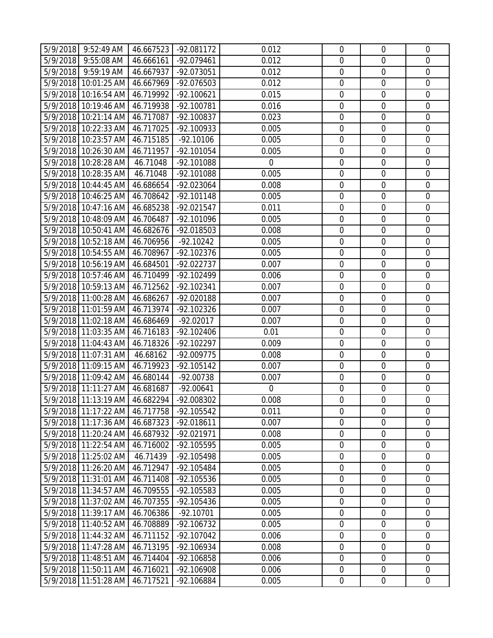|          | 5/9/2018 9:52:49 AM   46.667523 |           | -92.081172   | 0.012          | $\mathbf 0$      | $\mathbf 0$      | $\overline{0}$   |
|----------|---------------------------------|-----------|--------------|----------------|------------------|------------------|------------------|
|          | 5/9/2018 9:55:08 AM             | 46.666161 | -92.079461   | 0.012          | 0                | $\mathbf 0$      | $\overline{0}$   |
|          | 5/9/2018 9:59:19 AM             | 46.667937 | -92.073051   | 0.012          | $\mathbf 0$      | $\mathbf 0$      | $\mathbf 0$      |
|          | 5/9/2018 10:01:25 AM            | 46.667969 | -92.076503   | 0.012          | $\mathbf 0$      | $\mathbf 0$      | $\mathbf 0$      |
|          | 5/9/2018 10:16:54 AM            | 46.719992 | $-92.100621$ | 0.015          | $\mathbf 0$      | $\mathbf 0$      | $\overline{0}$   |
|          | 5/9/2018 10:19:46 AM            | 46.719938 | -92.100781   | 0.016          | $\overline{0}$   | $\mathbf 0$      | $\mathbf 0$      |
|          | 5/9/2018 10:21:14 AM            | 46.717087 | $-92.100837$ | 0.023          | $\mathbf 0$      | $\mathbf 0$      | $\overline{0}$   |
|          | 5/9/2018 10:22:33 AM            | 46.717025 | -92.100933   | 0.005          | $\boldsymbol{0}$ | $\mathbf 0$      | $\overline{0}$   |
|          | 5/9/2018 10:23:57 AM            | 46.715185 | $-92.10106$  | 0.005          | $\mathbf 0$      | $\mathbf 0$      | $\mathbf 0$      |
|          | 5/9/2018 10:26:30 AM            | 46.711957 | $-92.101054$ | 0.005          | $\mathbf 0$      | $\mathbf 0$      | $\boldsymbol{0}$ |
|          | 5/9/2018 10:28:28 AM            | 46.71048  | -92.101088   | $\mathbf 0$    | 0                | $\mathbf 0$      | $\mathbf 0$      |
|          | 5/9/2018 10:28:35 AM            | 46.71048  | -92.101088   | 0.005          | $\mathbf 0$      | $\mathbf 0$      | $\mathbf 0$      |
|          | 5/9/2018 10:44:45 AM            | 46.686654 | -92.023064   | 0.008          | $\mathbf 0$      | $\mathbf 0$      | $\overline{0}$   |
|          | 5/9/2018 10:46:25 AM            | 46.708642 | $-92.101148$ | 0.005          | $\mathbf 0$      | $\mathbf 0$      | $\mathbf 0$      |
|          | 5/9/2018 10:47:16 AM            | 46.685238 | -92.021547   | 0.011          | $\mathbf 0$      | $\mathbf 0$      | $\mathbf 0$      |
|          | 5/9/2018 10:48:09 AM            | 46.706487 | -92.101096   | 0.005          | $\mathbf 0$      | $\mathbf 0$      | $\overline{0}$   |
|          | 5/9/2018 10:50:41 AM            | 46.682676 | -92.018503   | 0.008          | $\mathbf 0$      | $\mathbf 0$      | $\mathbf 0$      |
|          | 5/9/2018 10:52:18 AM            | 46.706956 | $-92.10242$  | 0.005          | $\mathbf 0$      | $\mathbf 0$      | $\overline{0}$   |
|          | 5/9/2018 10:54:55 AM            | 46.708967 | $-92.102376$ | 0.005          | $\mathbf 0$      | $\mathbf 0$      | $\mathbf 0$      |
|          | 5/9/2018 10:56:19 AM            | 46.684501 | $-92.022737$ | 0.007          | $\mathbf 0$      | $\mathbf 0$      | $\mathbf 0$      |
|          | 5/9/2018 10:57:46 AM            | 46.710499 | -92.102499   | 0.006          | $\boldsymbol{0}$ | $\mathbf 0$      | $\overline{0}$   |
|          | 5/9/2018 10:59:13 AM            | 46.712562 | $-92.102341$ | 0.007          | $\mathbf 0$      | $\mathbf 0$      | $\mathbf 0$      |
|          | 5/9/2018 11:00:28 AM            | 46.686267 | -92.020188   | 0.007          | $\mathbf 0$      | $\mathbf 0$      | $\mathbf 0$      |
|          | 5/9/2018 11:01:59 AM            | 46.713974 | $-92.102326$ | 0.007          | $\mathbf 0$      | $\mathbf 0$      | $\overline{0}$   |
|          | 5/9/2018 11:02:18 AM            | 46.686469 | $-92.02017$  | 0.007          | $\mathbf 0$      | $\mathbf 0$      | $\mathbf 0$      |
|          | 5/9/2018 11:03:35 AM            | 46.716183 | $-92.102406$ | 0.01           | $\mathbf 0$      | $\mathbf 0$      | $\overline{0}$   |
|          | 5/9/2018 11:04:43 AM            | 46.718326 | $-92.102297$ | 0.009          | $\boldsymbol{0}$ | $\mathbf 0$      | $\overline{0}$   |
|          | 5/9/2018 11:07:31 AM            | 46.68162  | -92.009775   | 0.008          | $\mathbf 0$      | $\mathbf 0$      | $\mathbf 0$      |
|          | 5/9/2018 11:09:15 AM            | 46.719923 | $-92.105142$ | 0.007          | $\mathbf 0$      | $\mathbf 0$      | $\mathbf 0$      |
|          | 5/9/2018 11:09:42 AM            | 46.680144 | $-92.00738$  | 0.007          | $\mathbf 0$      | $\mathbf 0$      | $\overline{0}$   |
|          | 5/9/2018 11:11:27 AM            | 46.681687 | $-92.00641$  | $\overline{0}$ | $\overline{0}$   | $\mathbf 0$      | $\mathbf 0$      |
|          | 5/9/2018 11:13:19 AM 46.682294  |           | -92.008302   | 0.008          | $\mathbf 0$      | $\overline{0}$   | $\overline{0}$   |
|          | 5/9/2018 11:17:22 AM            | 46.717758 | $-92.105542$ | 0.011          | $\mathbf 0$      | $\mathbf 0$      | $\mathbf 0$      |
|          | 5/9/2018 11:17:36 AM            | 46.687323 | $-92.018611$ | 0.007          | $\mathbf 0$      | $\mathbf 0$      | $\mathbf 0$      |
|          | 5/9/2018 11:20:24 AM            | 46.687932 | -92.021971   | 0.008          | $\boldsymbol{0}$ | $\boldsymbol{0}$ | $\overline{0}$   |
|          | 5/9/2018 11:22:54 AM            | 46.716002 | -92.105595   | 0.005          | $\boldsymbol{0}$ | $\mathbf 0$      | $\mathbf 0$      |
|          | 5/9/2018 11:25:02 AM            | 46.71439  | -92.105498   | 0.005          | $\mathbf 0$      | $\overline{0}$   | $\overline{0}$   |
|          | 5/9/2018 11:26:20 AM            | 46.712947 | -92.105484   | 0.005          | $\boldsymbol{0}$ | $\boldsymbol{0}$ | $\boldsymbol{0}$ |
|          | 5/9/2018 11:31:01 AM            | 46.711408 | -92.105536   | 0.005          | $\mathbf 0$      | $\mathbf 0$      | $\mathbf 0$      |
|          | 5/9/2018 11:34:57 AM            | 46.709555 | -92.105583   | 0.005          | $\mathbf 0$      | $\overline{0}$   | $\overline{0}$   |
| 5/9/2018 | 11:37:02 AM                     | 46.707355 | $-92.105436$ | 0.005          | $\boldsymbol{0}$ | $\boldsymbol{0}$ | $\boldsymbol{0}$ |
|          | 5/9/2018 11:39:17 AM            | 46.706386 | $-92.10701$  | 0.005          | $\boldsymbol{0}$ | $\mathbf 0$      | $\overline{0}$   |
|          | 5/9/2018 11:40:52 AM            | 46.708889 | $-92.106732$ | 0.005          | $\boldsymbol{0}$ | $\mathbf 0$      | $\overline{0}$   |
|          | 5/9/2018 11:44:32 AM            | 46.711152 | $-92.107042$ | 0.006          | $\boldsymbol{0}$ | $\mathbf 0$      | $\mathbf 0$      |
|          | 5/9/2018 11:47:28 AM            | 46.713195 | -92.106934   | 0.008          | $\boldsymbol{0}$ | $\mathbf 0$      | $\overline{0}$   |
|          | 5/9/2018 11:48:51 AM            | 46.714404 | -92.106858   | 0.006          | $\mathbf 0$      | $\mathbf 0$      | $\overline{0}$   |
| 5/9/2018 | 11:50:11 AM                     | 46.716021 | -92.106908   | 0.006          | $\boldsymbol{0}$ | $\mathbf 0$      | $\overline{0}$   |
|          | 5/9/2018 11:51:28 AM            | 46.717521 | -92.106884   | 0.005          | $\mathbf 0$      | $\boldsymbol{0}$ | $\overline{0}$   |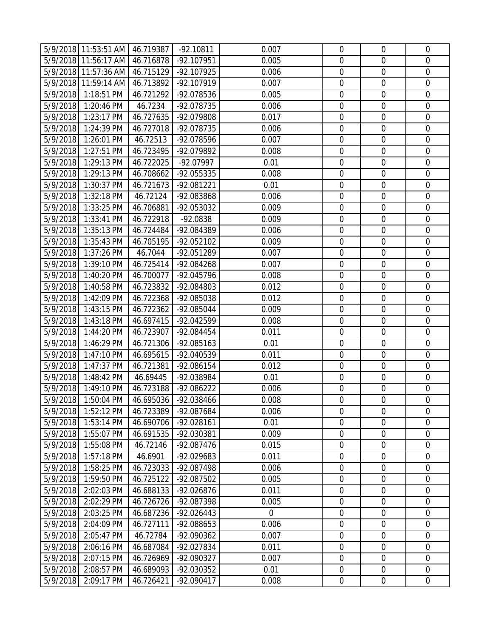|          | 5/9/2018   11:53:51 AM   46.719387 |           | $-92.10811$  | 0.007 | $\mathbf 0$      | $\overline{0}$   | $\mathbf 0$      |
|----------|------------------------------------|-----------|--------------|-------|------------------|------------------|------------------|
|          | 5/9/2018 11:56:17 AM               | 46.716878 | -92.107951   | 0.005 | $\mathbf 0$      | $\mathbf 0$      | $\mathbf 0$      |
|          | 5/9/2018 11:57:36 AM               | 46.715129 | -92.107925   | 0.006 | $\mathbf 0$      | $\mathbf 0$      | $\mathbf 0$      |
|          | 5/9/2018 11:59:14 AM               | 46.713892 | -92.107919   | 0.007 | $\mathbf 0$      | $\mathbf 0$      | $\mathbf 0$      |
|          | 5/9/2018 1:18:51 PM                | 46.721292 | -92.078536   | 0.005 | $\mathbf 0$      | $\mathbf 0$      | $\mathbf 0$      |
|          | 5/9/2018 1:20:46 PM                | 46.7234   | -92.078735   | 0.006 | $\mathbf 0$      | $\boldsymbol{0}$ | $\mathbf 0$      |
|          | 5/9/2018 1:23:17 PM                | 46.727635 | -92.079808   | 0.017 | $\mathbf 0$      | $\mathbf 0$      | $\mathbf 0$      |
| 5/9/2018 | 1:24:39 PM                         | 46.727018 | -92.078735   | 0.006 | $\boldsymbol{0}$ | $\mathbf 0$      | $\mathbf 0$      |
| 5/9/2018 | 1:26:01 PM                         | 46.72513  | -92.078596   | 0.007 | $\mathbf 0$      | $\mathbf 0$      | $\mathbf 0$      |
| 5/9/2018 | 1:27:51 PM                         | 46.723495 | -92.079892   | 0.008 | $\mathbf 0$      | $\boldsymbol{0}$ | $\mathbf 0$      |
| 5/9/2018 | 1:29:13 PM                         | 46.722025 | -92.07997    | 0.01  | $\mathbf 0$      | $\mathbf 0$      | $\mathbf 0$      |
| 5/9/2018 | 1:29:13 PM                         | 46.708662 | -92.055335   | 0.008 | $\mathbf 0$      | $\mathbf 0$      | $\mathbf 0$      |
|          | 5/9/2018 1:30:37 PM                | 46.721673 | -92.081221   | 0.01  | $\mathbf 0$      | $\mathbf 0$      | $\mathbf 0$      |
| 5/9/2018 | 1:32:18 PM                         | 46.72124  | -92.083868   | 0.006 | $\mathbf 0$      | $\mathbf 0$      | $\mathbf 0$      |
| 5/9/2018 | 1:33:25 PM                         | 46.706881 | -92.053032   | 0.009 | $\mathbf 0$      | $\mathbf 0$      | $\mathbf 0$      |
| 5/9/2018 | 1:33:41 PM                         | 46.722918 | $-92.0838$   | 0.009 | $\mathbf 0$      | $\mathbf 0$      | $\mathbf 0$      |
|          | 5/9/2018 1:35:13 PM                | 46.724484 | -92.084389   | 0.006 | $\mathbf 0$      | $\mathbf 0$      | $\mathbf 0$      |
| 5/9/2018 | 1:35:43 PM                         | 46.705195 | -92.052102   | 0.009 | $\mathbf 0$      | $\mathbf 0$      | $\mathbf 0$      |
| 5/9/2018 | 1:37:26 PM                         | 46.7044   | -92.051289   | 0.007 | $\mathbf 0$      | $\mathbf 0$      | $\mathbf 0$      |
| 5/9/2018 | 1:39:10 PM                         | 46.725414 | -92.084268   | 0.007 | $\mathbf 0$      | $\mathbf 0$      | $\mathbf 0$      |
| 5/9/2018 | 1:40:20 PM                         | 46.700077 | -92.045796   | 0.008 | $\mathbf 0$      | $\boldsymbol{0}$ | $\mathbf 0$      |
| 5/9/2018 | 1:40:58 PM                         | 46.723832 | -92.084803   | 0.012 | $\mathbf 0$      | $\mathbf 0$      | $\mathbf 0$      |
|          | 5/9/2018 1:42:09 PM                | 46.722368 | -92.085038   | 0.012 | $\mathbf 0$      | $\mathbf 0$      | $\mathbf 0$      |
| 5/9/2018 | 1:43:15 PM                         | 46.722362 | -92.085044   | 0.009 | $\mathbf 0$      | $\boldsymbol{0}$ | $\mathbf 0$      |
|          | 5/9/2018 1:43:18 PM                | 46.697415 | -92.042599   | 0.008 | $\mathbf 0$      | $\mathbf 0$      | $\mathbf 0$      |
| 5/9/2018 | 1:44:20 PM                         | 46.723907 | -92.084454   | 0.011 | $\mathbf 0$      | $\mathbf 0$      | $\mathbf 0$      |
| 5/9/2018 | 1:46:29 PM                         | 46.721306 | $-92.085163$ | 0.01  | $\mathbf 0$      | $\boldsymbol{0}$ | $\mathbf 0$      |
| 5/9/2018 | 1:47:10 PM                         | 46.695615 | -92.040539   | 0.011 | $\mathbf 0$      | $\mathbf 0$      | $\mathbf 0$      |
| 5/9/2018 | 1:47:37 PM                         | 46.721381 | -92.086154   | 0.012 | $\mathbf 0$      | $\mathbf 0$      | $\mathbf 0$      |
| 5/9/2018 | 1:48:42 PM                         | 46.69445  | -92.038984   | 0.01  | $\mathbf 0$      | $\boldsymbol{0}$ | $\mathbf 0$      |
| 5/9/2018 | 1:49:10 PM                         | 46.723188 | -92.086222   | 0.006 | $\mathbf 0$      | $\boldsymbol{0}$ | $\mathbf 0$      |
|          | 5/9/2018 1:50:04 PM                | 46.695036 | -92.038466   | 0.008 | $\mathbf 0$      | $\mathbf 0$      | $\overline{0}$   |
| 5/9/2018 | 1:52:12 PM                         | 46.723389 | -92.087684   | 0.006 | $\mathbf 0$      | $\mathbf 0$      | $\mathbf 0$      |
| 5/9/2018 | 1:53:14 PM                         | 46.690706 | -92.028161   | 0.01  | $\mathbf 0$      | $\mathbf 0$      | $\mathbf 0$      |
| 5/9/2018 | 1:55:07 PM                         | 46.691535 | -92.030381   | 0.009 | $\boldsymbol{0}$ | $\mathbf 0$      | $\boldsymbol{0}$ |
| 5/9/2018 | 1:55:08 PM                         | 46.72146  | -92.087476   | 0.015 | $\mathbf 0$      | $\mathbf 0$      | $\mathbf 0$      |
| 5/9/2018 | $1:57:18$ PM                       | 46.6901   | -92.029683   | 0.011 | $\mathbf 0$      | $\mathbf 0$      | $\overline{0}$   |
| 5/9/2018 | 1:58:25 PM                         | 46.723033 | -92.087498   | 0.006 | $\boldsymbol{0}$ | $\boldsymbol{0}$ | $\boldsymbol{0}$ |
| 5/9/2018 | 1:59:50 PM                         | 46.725122 | -92.087502   | 0.005 | $\mathbf 0$      | $\boldsymbol{0}$ | $\mathbf 0$      |
| 5/9/2018 | 2:02:03 PM                         | 46.688133 | -92.026876   | 0.011 | $\mathbf 0$      | $\mathbf 0$      | $\overline{0}$   |
| 5/9/2018 | 2:02:29 PM                         | 46.726726 | -92.087398   | 0.005 | $\boldsymbol{0}$ | $\mathbf 0$      | $\mathbf 0$      |
| 5/9/2018 | 2:03:25 PM                         | 46.687236 | $-92.026443$ | 0     | $\mathbf 0$      | $\mathbf 0$      | $\mathbf 0$      |
| 5/9/2018 | 2:04:09 PM                         | 46.727111 | -92.088653   | 0.006 | $\boldsymbol{0}$ | $\boldsymbol{0}$ | $\mathbf 0$      |
| 5/9/2018 | 2:05:47 PM                         | 46.72784  | -92.090362   | 0.007 | $\boldsymbol{0}$ | $\mathbf 0$      | $\mathbf 0$      |
| 5/9/2018 | 2:06:16 PM                         | 46.687084 | -92.027834   | 0.011 | $\boldsymbol{0}$ | $\boldsymbol{0}$ | $\mathbf 0$      |
| 5/9/2018 | 2:07:15 PM                         | 46.726969 | -92.090327   | 0.007 | $\mathbf 0$      | $\boldsymbol{0}$ | $\mathbf 0$      |
| 5/9/2018 | 2:08:57 PM                         | 46.689093 | -92.030352   | 0.01  | $\boldsymbol{0}$ | $\mathbf 0$      | $\mathbf 0$      |
| 5/9/2018 | 2:09:17 PM                         | 46.726421 | $-92.090417$ | 0.008 | $\boldsymbol{0}$ | $\boldsymbol{0}$ | $\boldsymbol{0}$ |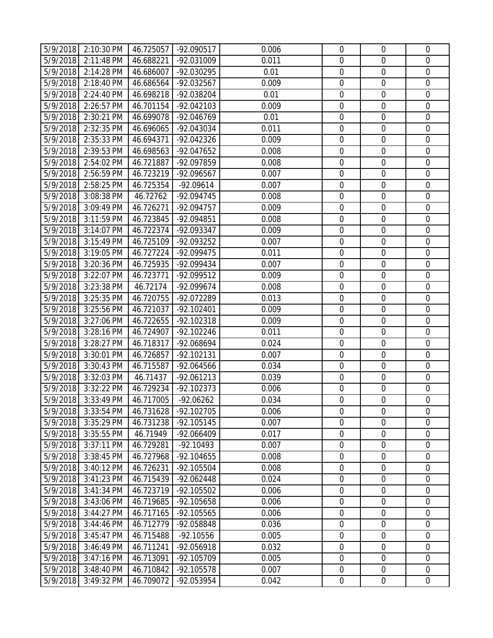|          | 5/9/2018 2:10:30 PM | 46.725057 | -92.090517   | 0.006 | $\mathbf 0$      | $\overline{0}$   | $\mathbf 0$      |
|----------|---------------------|-----------|--------------|-------|------------------|------------------|------------------|
| 5/9/2018 | 2:11:48 PM          | 46.688221 | -92.031009   | 0.011 | $\mathbf 0$      | $\mathbf 0$      | $\mathbf 0$      |
| 5/9/2018 | 2:14:28 PM          | 46.686007 | -92.030295   | 0.01  | $\mathbf 0$      | $\mathbf 0$      | $\mathbf 0$      |
| 5/9/2018 | 2:18:40 PM          | 46.686564 | -92.032567   | 0.009 | $\boldsymbol{0}$ | $\mathbf 0$      | $\mathbf 0$      |
| 5/9/2018 | 2:24:40 PM          | 46.698218 | -92.038204   | 0.01  | $\boldsymbol{0}$ | $\mathbf 0$      | $\mathbf 0$      |
| 5/9/2018 | 2:26:57 PM          | 46.701154 | $-92.042103$ | 0.009 | $\boldsymbol{0}$ | $\boldsymbol{0}$ | $\mathbf 0$      |
| 5/9/2018 | 2:30:21 PM          | 46.699078 | -92.046769   | 0.01  | $\mathbf 0$      | $\boldsymbol{0}$ | $\mathbf 0$      |
| 5/9/2018 | 2:32:35 PM          | 46.696065 | -92.043034   | 0.011 | $\boldsymbol{0}$ | $\mathbf 0$      | $\mathbf 0$      |
| 5/9/2018 | 2:35:33 PM          | 46.694371 | -92.042326   | 0.009 | $\boldsymbol{0}$ | $\boldsymbol{0}$ | $\mathbf 0$      |
| 5/9/2018 | 2:39:53 PM          | 46.698563 | -92.047652   | 0.008 | $\mathbf 0$      | $\mathbf 0$      | $\mathbf 0$      |
| 5/9/2018 | 2:54:02 PM          | 46.721887 | -92.097859   | 0.008 | $\mathbf 0$      | $\mathbf 0$      | $\mathbf 0$      |
| 5/9/2018 | 2:56:59 PM          | 46.723219 | -92.096567   | 0.007 | $\boldsymbol{0}$ | $\boldsymbol{0}$ | $\mathbf 0$      |
| 5/9/2018 | 2:58:25 PM          | 46.725354 | $-92.09614$  | 0.007 | $\mathbf 0$      | $\mathbf 0$      | $\mathbf 0$      |
| 5/9/2018 | 3:08:38 PM          | 46.72762  | -92.094745   | 0.008 | $\mathbf 0$      | $\mathbf 0$      | $\mathbf 0$      |
| 5/9/2018 | 3:09:49 PM          | 46.726271 | -92.094757   | 0.009 | $\boldsymbol{0}$ | $\mathbf 0$      | $\mathbf 0$      |
| 5/9/2018 | 3:11:59 PM          | 46.723845 | -92.094851   | 0.008 | $\mathbf 0$      | $\boldsymbol{0}$ | $\mathbf 0$      |
| 5/9/2018 | 3:14:07 PM          | 46.722374 | -92.093347   | 0.009 | $\boldsymbol{0}$ | $\mathbf 0$      | $\mathbf 0$      |
| 5/9/2018 | 3:15:49 PM          | 46.725109 | -92.093252   | 0.007 | $\mathbf 0$      | $\mathbf 0$      | $\mathbf 0$      |
| 5/9/2018 | 3:19:05 PM          | 46.727224 | -92.099475   | 0.011 | $\mathbf 0$      | $\mathbf 0$      | $\mathbf 0$      |
| 5/9/2018 | 3:20:36 PM          | 46.725935 | -92.099434   | 0.007 | $\boldsymbol{0}$ | $\mathbf 0$      | $\mathbf 0$      |
| 5/9/2018 | 3:22:07 PM          | 46.723771 | -92.099512   | 0.009 | $\boldsymbol{0}$ | $\mathbf 0$      | $\mathbf 0$      |
| 5/9/2018 | 3:23:38 PM          | 46.72174  | -92.099674   | 0.008 | $\mathbf 0$      | $\mathbf 0$      | $\mathbf 0$      |
| 5/9/2018 | 3:25:35 PM          | 46.720755 | -92.072289   | 0.013 | $\boldsymbol{0}$ | $\mathbf 0$      | $\mathbf 0$      |
| 5/9/2018 | 3:25:56 PM          | 46.721037 | $-92.102401$ | 0.009 | $\mathbf 0$      | $\boldsymbol{0}$ | $\mathbf 0$      |
| 5/9/2018 | 3:27:06 PM          | 46.722655 | $-92.102318$ | 0.009 | $\mathbf 0$      | $\mathbf 0$      | $\mathbf 0$      |
| 5/9/2018 | 3:28:16 PM          | 46.724907 | $-92.102246$ | 0.011 | $\boldsymbol{0}$ | $\mathbf 0$      | $\mathbf 0$      |
| 5/9/2018 | 3:28:27 PM          | 46.718317 | -92.068694   | 0.024 | $\boldsymbol{0}$ | $\boldsymbol{0}$ | $\boldsymbol{0}$ |
| 5/9/2018 | 3:30:01 PM          | 46.726857 | $-92.102131$ | 0.007 | $\mathbf 0$      | $\mathbf 0$      | $\mathbf 0$      |
| 5/9/2018 | 3:30:43 PM          | 46.715587 | -92.064566   | 0.034 | $\mathbf 0$      | $\mathbf 0$      | $\mathbf 0$      |
| 5/9/2018 | 3:32:03 PM          | 46.71437  | $-92.061213$ | 0.039 | $\mathbf 0$      | $\boldsymbol{0}$ | $\mathbf 0$      |
| 5/9/2018 | 3:32:22 PM          | 46.729234 | $-92.102373$ | 0.006 | $\mathbf 0$      | $\boldsymbol{0}$ | $\mathbf 0$      |
|          | 5/9/2018 3:33:49 PM | 46.717005 | $-92.06262$  | 0.034 | $\mathbf 0$      | $\mathbf 0$      | $\overline{0}$   |
| 5/9/2018 | 3:33:54 PM          | 46.731628 | -92.102705   | 0.006 | $\mathbf 0$      | $\mathbf 0$      | $\mathbf 0$      |
| 5/9/2018 | 3:35:29 PM          | 46.731238 | $-92.105145$ | 0.007 | $\mathbf 0$      | $\mathbf 0$      | $\mathbf 0$      |
| 5/9/2018 | 3:35:55 PM          | 46.71949  | -92.066409   | 0.017 | $\boldsymbol{0}$ | $\boldsymbol{0}$ | $\mathbf 0$      |
| 5/9/2018 | 3:37:11 PM          | 46.729281 | $-92.10493$  | 0.007 | $\boldsymbol{0}$ | $\boldsymbol{0}$ | $\mathbf 0$      |
| 5/9/2018 | 3:38:45 PM          | 46.727968 | $-92.104655$ | 0.008 | $\mathbf 0$      | $\mathbf 0$      | $\overline{0}$   |
| 5/9/2018 | 3:40:12 PM          | 46.726231 | $-92.105504$ | 0.008 | $\boldsymbol{0}$ | $\boldsymbol{0}$ | $\boldsymbol{0}$ |
| 5/9/2018 | 3:41:23 PM          | 46.715439 | $-92.062448$ | 0.024 | $\boldsymbol{0}$ | $\boldsymbol{0}$ | $\mathbf 0$      |
| 5/9/2018 | 3:41:34 PM          | 46.723719 | -92.105502   | 0.006 | $\mathbf 0$      | $\mathbf 0$      | $\overline{0}$   |
| 5/9/2018 | 3:43:06 PM          | 46.719685 | $-92.105658$ | 0.006 | $\boldsymbol{0}$ | $\mathbf 0$      | $\boldsymbol{0}$ |
| 5/9/2018 | 3:44:27 PM          | 46.717165 | -92.105565   | 0.006 | $\boldsymbol{0}$ | $\boldsymbol{0}$ | $\mathbf 0$      |
|          |                     | 46.712779 | -92.058848   |       | $\mathbf 0$      | $\mathbf 0$      | $\mathbf 0$      |
| 5/9/2018 | 3:44:46 PM          |           |              | 0.036 |                  |                  |                  |
| 5/9/2018 | 3:45:47 PM          | 46.715488 | $-92.10556$  | 0.005 | $\boldsymbol{0}$ | $\boldsymbol{0}$ | $\mathbf 0$      |
| 5/9/2018 | 3:46:49 PM          | 46.711241 | -92.056918   | 0.032 | $\boldsymbol{0}$ | $\boldsymbol{0}$ | $\mathbf 0$      |
| 5/9/2018 | 3:47:16 PM          | 46.713091 | -92.105709   | 0.005 | $\mathbf 0$      | $\mathbf 0$      | $\overline{0}$   |
| 5/9/2018 | 3:48:40 PM          | 46.710842 | $-92.105578$ | 0.007 | $\boldsymbol{0}$ | $\mathbf 0$      | $\mathbf 0$      |
| 5/9/2018 | 3:49:32 PM          | 46.709072 | -92.053954   | 0.042 | $\mathbf 0$      | $\boldsymbol{0}$ | $\overline{0}$   |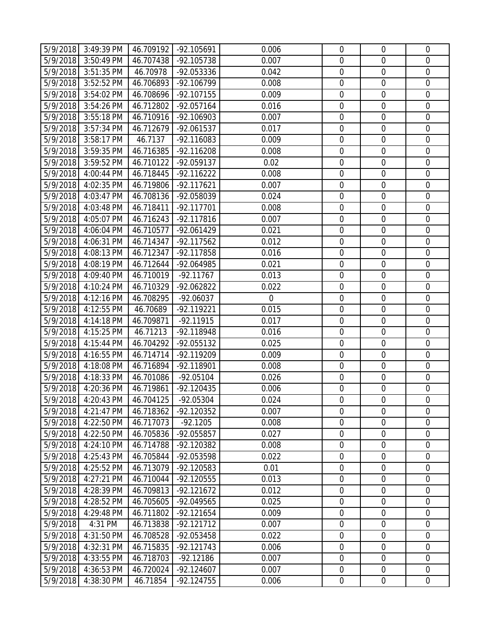|          | 5/9/2018 3:49:39 PM | 46.709192 | -92.105691   | 0.006       | $\mathbf 0$      | $\overline{0}$   | $\mathbf 0$      |
|----------|---------------------|-----------|--------------|-------------|------------------|------------------|------------------|
| 5/9/2018 | 3:50:49 PM          | 46.707438 | -92.105738   | 0.007       | $\mathbf 0$      | $\mathbf 0$      | $\mathbf 0$      |
| 5/9/2018 | 3:51:35 PM          | 46.70978  | -92.053336   | 0.042       | $\mathbf 0$      | $\boldsymbol{0}$ | $\mathbf 0$      |
| 5/9/2018 | 3:52:52 PM          | 46.706893 | -92.106799   | 0.008       | $\mathbf 0$      | $\boldsymbol{0}$ | $\mathbf 0$      |
| 5/9/2018 | 3:54:02 PM          | 46.708696 | $-92.107155$ | 0.009       | $\mathbf 0$      | $\mathbf 0$      | $\mathbf 0$      |
| 5/9/2018 | 3:54:26 PM          | 46.712802 | $-92.057164$ | 0.016       | $\boldsymbol{0}$ | $\boldsymbol{0}$ | $\mathbf 0$      |
| 5/9/2018 | 3:55:18 PM          | 46.710916 | -92.106903   | 0.007       | $\mathbf 0$      | $\mathbf 0$      | $\mathbf 0$      |
| 5/9/2018 | 3:57:34 PM          | 46.712679 | $-92.061537$ | 0.017       | $\boldsymbol{0}$ | $\boldsymbol{0}$ | $\mathbf 0$      |
| 5/9/2018 | 3:58:17 PM          | 46.7137   | $-92.116083$ | 0.009       | $\boldsymbol{0}$ | $\boldsymbol{0}$ | $\mathbf 0$      |
| 5/9/2018 | 3:59:35 PM          | 46.716385 | $-92.116208$ | 0.008       | $\mathbf 0$      | $\mathbf 0$      | $\mathbf 0$      |
| 5/9/2018 | 3:59:52 PM          | 46.710122 | -92.059137   | 0.02        | $\mathbf 0$      | $\mathbf 0$      | $\mathbf 0$      |
| 5/9/2018 | 4:00:44 PM          | 46.718445 | $-92.116222$ | 0.008       | $\boldsymbol{0}$ | $\boldsymbol{0}$ | $\mathbf 0$      |
| 5/9/2018 | 4:02:35 PM          | 46.719806 | $-92.117621$ | 0.007       | $\mathbf 0$      | $\mathbf 0$      | $\mathbf 0$      |
| 5/9/2018 | 4:03:47 PM          | 46.708136 | -92.058039   | 0.024       | $\mathbf 0$      | $\mathbf 0$      | $\mathbf 0$      |
| 5/9/2018 | 4:03:48 PM          | 46.718411 | $-92.117701$ | 0.008       | $\boldsymbol{0}$ | $\boldsymbol{0}$ | $\mathbf 0$      |
| 5/9/2018 | 4:05:07 PM          | 46.716243 | $-92.117816$ | 0.007       | $\mathbf 0$      | $\mathbf 0$      | $\mathbf 0$      |
| 5/9/2018 | 4:06:04 PM          | 46.710577 | -92.061429   | 0.021       | $\mathbf 0$      | $\mathbf 0$      | $\mathbf 0$      |
| 5/9/2018 | 4:06:31 PM          | 46.714347 | $-92.117562$ | 0.012       | $\mathbf 0$      | $\mathbf 0$      | $\mathbf 0$      |
| 5/9/2018 | 4:08:13 PM          | 46.712347 | -92.117858   | 0.016       | $\mathbf 0$      | $\mathbf 0$      | $\mathbf 0$      |
| 5/9/2018 | 4:08:19 PM          | 46.712644 | -92.064985   | 0.021       | $\mathbf 0$      | $\mathbf 0$      | $\mathbf 0$      |
| 5/9/2018 | 4:09:40 PM          | 46.710019 | $-92.11767$  | 0.013       | $\boldsymbol{0}$ | $\boldsymbol{0}$ | $\mathbf 0$      |
| 5/9/2018 | 4:10:24 PM          | 46.710329 | $-92.062822$ | 0.022       | $\mathbf 0$      | $\mathbf 0$      | $\mathbf 0$      |
| 5/9/2018 | 4:12:16 PM          | 46.708295 | $-92.06037$  | $\mathbf 0$ | $\boldsymbol{0}$ | $\mathbf 0$      | $\mathbf 0$      |
| 5/9/2018 | 4:12:55 PM          | 46.70689  | $-92.119221$ | 0.015       | $\mathbf 0$      | $\mathbf 0$      | $\mathbf 0$      |
| 5/9/2018 | 4:14:18 PM          | 46.709871 | $-92.11915$  | 0.017       | $\mathbf 0$      | $\mathbf 0$      | $\mathbf 0$      |
| 5/9/2018 | 4:15:25 PM          | 46.71213  | -92.118948   | 0.016       | $\boldsymbol{0}$ | $\mathbf 0$      | $\mathbf 0$      |
| 5/9/2018 | 4:15:44 PM          | 46.704292 | -92.055132   | 0.025       | $\boldsymbol{0}$ | $\boldsymbol{0}$ | $\boldsymbol{0}$ |
| 5/9/2018 | 4:16:55 PM          | 46.714714 | -92.119209   | 0.009       | $\mathbf 0$      | $\mathbf 0$      | $\mathbf 0$      |
| 5/9/2018 | 4:18:08 PM          | 46.716894 | $-92.118901$ | 0.008       | $\mathbf 0$      | $\mathbf 0$      | $\mathbf 0$      |
| 5/9/2018 | 4:18:33 PM          | 46.701086 | $-92.05104$  | 0.026       | $\mathbf 0$      | $\boldsymbol{0}$ | $\mathbf 0$      |
| 5/9/2018 | 4:20:36 PM          | 46.719861 | $-92.120435$ | 0.006       | $\mathbf 0$      | $\boldsymbol{0}$ | $\mathbf 0$      |
|          | 5/9/2018 4:20:43 PM | 46.704125 | $-92.05304$  | 0.024       | $\mathbf 0$      | $\mathbf 0$      | $\overline{0}$   |
| 5/9/2018 | 4:21:47 PM          | 46.718362 | $-92.120352$ | 0.007       | $\mathbf 0$      | $\mathbf 0$      | $\mathbf 0$      |
| 5/9/2018 | 4:22:50 PM          | 46.717073 | $-92.1205$   | 0.008       | $\mathbf 0$      | $\mathbf 0$      | $\overline{0}$   |
| 5/9/2018 | 4:22:50 PM          | 46.705836 | -92.055857   | 0.027       | $\boldsymbol{0}$ | $\boldsymbol{0}$ | $\overline{0}$   |
| 5/9/2018 | 4:24:10 PM          | 46.714788 | -92.120382   | 0.008       | $\boldsymbol{0}$ | $\boldsymbol{0}$ | $\mathbf 0$      |
| 5/9/2018 | 4:25:43 PM          | 46.705844 | -92.053598   | 0.022       | $\mathbf 0$      | $\mathbf 0$      | $\overline{0}$   |
| 5/9/2018 | 4:25:52 PM          | 46.713079 | $-92.120583$ | 0.01        | $\boldsymbol{0}$ | $\boldsymbol{0}$ | $\mathbf 0$      |
| 5/9/2018 | 4:27:21 PM          | 46.710044 | $-92.120555$ | 0.013       | $\boldsymbol{0}$ | $\boldsymbol{0}$ | $\mathbf 0$      |
| 5/9/2018 | 4:28:39 PM          | 46.709813 | $-92.121672$ | 0.012       | $\mathbf 0$      | $\mathbf 0$      | $\overline{0}$   |
| 5/9/2018 | 4:28:52 PM          | 46.705605 | -92.049565   | 0.025       | $\boldsymbol{0}$ | $\mathbf 0$      | $\boldsymbol{0}$ |
| 5/9/2018 | 4:29:48 PM          | 46.711802 | $-92.121654$ | 0.009       | $\boldsymbol{0}$ | $\boldsymbol{0}$ | $\mathbf 0$      |
| 5/9/2018 | 4:31 PM             | 46.713838 | $-92.121712$ | 0.007       | $\mathbf 0$      | $\mathbf 0$      | $\mathbf 0$      |
| 5/9/2018 | 4:31:50 PM          | 46.708528 | -92.053458   | 0.022       | $\boldsymbol{0}$ | $\boldsymbol{0}$ | $\mathbf 0$      |
| 5/9/2018 | 4:32:31 PM          | 46.715835 | $-92.121743$ | 0.006       | $\boldsymbol{0}$ | $\boldsymbol{0}$ | $\mathbf 0$      |
| 5/9/2018 | 4:33:55 PM          | 46.718703 | $-92.12186$  | 0.007       | $\mathbf 0$      | $\mathbf 0$      | $\overline{0}$   |
| 5/9/2018 | 4:36:53 PM          | 46.720024 | $-92.124607$ | 0.007       | $\boldsymbol{0}$ | $\mathbf 0$      | $\mathbf 0$      |
| 5/9/2018 | 4:38:30 PM          | 46.71854  | $-92.124755$ | 0.006       | $\mathbf 0$      | $\boldsymbol{0}$ | $\overline{0}$   |
|          |                     |           |              |             |                  |                  |                  |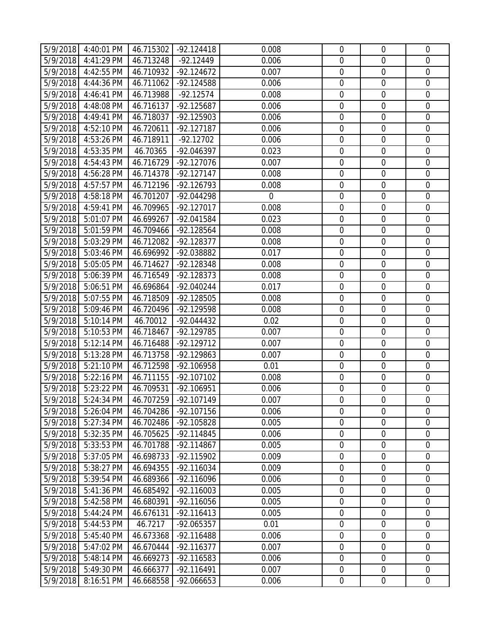|          | 5/9/2018 4:40:01 PM | 46.715302 | $-92.124418$ | 0.008       | $\mathbf 0$      | $\overline{0}$   | $\mathbf 0$      |
|----------|---------------------|-----------|--------------|-------------|------------------|------------------|------------------|
| 5/9/2018 | 4:41:29 PM          | 46.713248 | $-92.12449$  | 0.006       | $\mathbf 0$      | $\mathbf 0$      | $\mathbf 0$      |
| 5/9/2018 | 4:42:55 PM          | 46.710932 | $-92.124672$ | 0.007       | $\mathbf 0$      | $\boldsymbol{0}$ | $\mathbf 0$      |
| 5/9/2018 | 4:44:36 PM          | 46.711062 | $-92.124588$ | 0.006       | $\mathbf 0$      | $\mathbf 0$      | $\mathbf 0$      |
| 5/9/2018 | 4:46:41 PM          | 46.713988 | $-92.12574$  | 0.008       | $\mathbf 0$      | $\mathbf 0$      | $\mathbf 0$      |
| 5/9/2018 | 4:48:08 PM          | 46.716137 | $-92.125687$ | 0.006       | $\boldsymbol{0}$ | $\boldsymbol{0}$ | $\mathbf 0$      |
| 5/9/2018 | 4:49:41 PM          | 46.718037 | $-92.125903$ | 0.006       | $\mathbf 0$      | $\mathbf 0$      | $\mathbf 0$      |
| 5/9/2018 | 4:52:10 PM          | 46.720611 | $-92.127187$ | 0.006       | $\boldsymbol{0}$ | $\mathbf 0$      | $\mathbf 0$      |
| 5/9/2018 | 4:53:26 PM          | 46.718911 | $-92.12702$  | 0.006       | $\boldsymbol{0}$ | $\boldsymbol{0}$ | $\mathbf 0$      |
| 5/9/2018 | 4:53:35 PM          | 46.70365  | -92.046397   | 0.023       | $\mathbf 0$      | $\mathbf 0$      | $\mathbf 0$      |
| 5/9/2018 | 4:54:43 PM          | 46.716729 | $-92.127076$ | 0.007       | $\mathbf 0$      | $\mathbf 0$      | $\mathbf 0$      |
| 5/9/2018 | 4:56:28 PM          | 46.714378 | $-92.127147$ | 0.008       | $\boldsymbol{0}$ | $\boldsymbol{0}$ | $\mathbf 0$      |
| 5/9/2018 | 4:57:57 PM          | 46.712196 | $-92.126793$ | 0.008       | $\mathbf 0$      | $\mathbf 0$      | $\mathbf 0$      |
| 5/9/2018 | 4:58:18 PM          | 46.701207 | -92.044298   | $\mathbf 0$ | $\mathbf 0$      | $\mathbf 0$      | $\mathbf 0$      |
| 5/9/2018 | 4:59:41 PM          | 46.709965 | $-92.127017$ | 0.008       | $\boldsymbol{0}$ | $\boldsymbol{0}$ | $\mathbf 0$      |
| 5/9/2018 | 5:01:07 PM          | 46.699267 | -92.041584   | 0.023       | $\mathbf 0$      | $\mathbf 0$      | $\mathbf 0$      |
| 5/9/2018 | 5:01:59 PM          | 46.709466 | $-92.128564$ | 0.008       | $\boldsymbol{0}$ | $\mathbf 0$      | $\mathbf 0$      |
| 5/9/2018 | 5:03:29 PM          | 46.712082 | $-92.128377$ | 0.008       | $\mathbf 0$      | $\mathbf 0$      | $\mathbf 0$      |
| 5/9/2018 | 5:03:46 PM          | 46.696992 | -92.038882   | 0.017       | $\mathbf 0$      | $\mathbf 0$      | $\mathbf 0$      |
| 5/9/2018 | 5:05:05 PM          | 46.714627 | -92.128348   | 0.008       | $\mathbf 0$      | $\mathbf 0$      | $\mathbf 0$      |
| 5/9/2018 | 5:06:39 PM          | 46.716549 | $-92.128373$ | 0.008       | $\boldsymbol{0}$ | $\mathbf 0$      | $\mathbf 0$      |
| 5/9/2018 | 5:06:51 PM          | 46.696864 | $-92.040244$ | 0.017       | $\mathbf 0$      | $\mathbf 0$      | $\mathbf 0$      |
| 5/9/2018 | 5:07:55 PM          | 46.718509 | $-92.128505$ | 0.008       | $\mathbf 0$      | $\mathbf 0$      | $\mathbf 0$      |
| 5/9/2018 | 5:09:46 PM          | 46.720496 | -92.129598   | 0.008       | $\mathbf 0$      | $\mathbf 0$      | $\mathbf 0$      |
| 5/9/2018 | 5:10:14 PM          | 46.70012  | -92.044432   | 0.02        | $\mathbf 0$      | $\mathbf 0$      | $\mathbf 0$      |
| 5/9/2018 | 5:10:53 PM          | 46.718467 | -92.129785   | 0.007       | $\boldsymbol{0}$ | $\mathbf 0$      | $\mathbf 0$      |
| 5/9/2018 | 5:12:14 PM          | 46.716488 | $-92.129712$ | 0.007       | $\boldsymbol{0}$ | $\boldsymbol{0}$ | $\boldsymbol{0}$ |
| 5/9/2018 | 5:13:28 PM          | 46.713758 | $-92.129863$ | 0.007       | $\mathbf 0$      | $\mathbf 0$      | $\mathbf 0$      |
| 5/9/2018 | 5:21:10 PM          | 46.712598 | -92.106958   | 0.01        | $\mathbf 0$      | $\mathbf 0$      | $\mathbf 0$      |
| 5/9/2018 | 5:22:16 PM          | 46.711155 | $-92.107102$ | 0.008       | $\mathbf 0$      | $\boldsymbol{0}$ | $\mathbf 0$      |
| 5/9/2018 | 5:23:22 PM          | 46.709531 | -92.106951   | 0.006       | $\mathbf 0$      | $\boldsymbol{0}$ | $\mathbf 0$      |
|          | 5/9/2018 5:24:34 PM | 46.707259 | $-92.107149$ | 0.007       | $\mathbf 0$      | $\mathbf 0$      | $\overline{0}$   |
| 5/9/2018 | 5:26:04 PM          | 46.704286 | $-92.107156$ | 0.006       | $\mathbf 0$      | $\mathbf 0$      | $\mathbf 0$      |
| 5/9/2018 | 5:27:34 PM          | 46.702486 | -92.105828   | 0.005       | $\mathbf 0$      | $\mathbf 0$      | $\mathbf 0$      |
| 5/9/2018 | 5:32:35 PM          | 46.705625 | $-92.114845$ | 0.006       | $\boldsymbol{0}$ | $\boldsymbol{0}$ | $\boldsymbol{0}$ |
| 5/9/2018 | 5:33:53 PM          | 46.701788 | $-92.114867$ | 0.005       | $\boldsymbol{0}$ | $\boldsymbol{0}$ | $\mathbf 0$      |
| 5/9/2018 | 5:37:05 PM          | 46.698733 | -92.115902   | 0.009       | $\mathbf 0$      | $\mathbf 0$      | $\overline{0}$   |
| 5/9/2018 | 5:38:27 PM          | 46.694355 | $-92.116034$ | 0.009       | $\boldsymbol{0}$ | $\boldsymbol{0}$ | $\boldsymbol{0}$ |
| 5/9/2018 | 5:39:54 PM          | 46.689366 | -92.116096   | 0.006       | $\boldsymbol{0}$ | $\boldsymbol{0}$ | $\mathbf 0$      |
| 5/9/2018 | 5:41:36 PM          | 46.685492 | $-92.116003$ | 0.005       | $\mathbf 0$      | $\mathbf 0$      | $\overline{0}$   |
| 5/9/2018 | 5:42:58 PM          | 46.680391 | $-92.116056$ | 0.005       | $\boldsymbol{0}$ | $\boldsymbol{0}$ | $\boldsymbol{0}$ |
| 5/9/2018 | 5:44:24 PM          | 46.676131 | $-92.116413$ | 0.005       | $\boldsymbol{0}$ | $\boldsymbol{0}$ | $\mathbf 0$      |
| 5/9/2018 | 5:44:53 PM          | 46.7217   | -92.065357   | 0.01        | $\mathbf 0$      | $\mathbf 0$      | $\mathbf 0$      |
| 5/9/2018 | 5:45:40 PM          | 46.673368 | $-92.116488$ | 0.006       | $\boldsymbol{0}$ | $\boldsymbol{0}$ | $\mathbf 0$      |
| 5/9/2018 | 5:47:02 PM          | 46.670444 | $-92.116377$ | 0.007       | $\boldsymbol{0}$ | $\boldsymbol{0}$ | $\mathbf 0$      |
| 5/9/2018 | 5:48:14 PM          | 46.669273 | -92.116583   | 0.006       | $\mathbf 0$      | $\mathbf 0$      | $\overline{0}$   |
| 5/9/2018 | 5:49:30 PM          | 46.666377 | $-92.116491$ | 0.007       | $\boldsymbol{0}$ | $\mathbf 0$      | $\mathbf 0$      |
| 5/9/2018 | 8:16:51 PM          | 46.668558 | -92.066653   | 0.006       | $\boldsymbol{0}$ | $\boldsymbol{0}$ | $\overline{0}$   |
|          |                     |           |              |             |                  |                  |                  |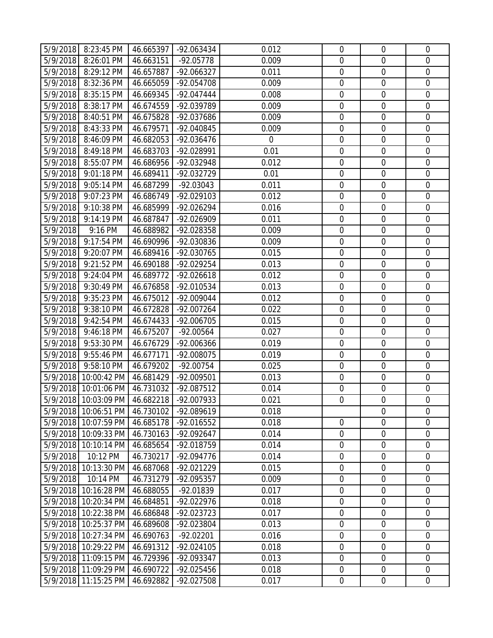|          | 5/9/2018 8:23:45 PM            |                        |                           | 0.012       | $\boldsymbol{0}$ | $\mathbf 0$      | $\overline{0}$   |
|----------|--------------------------------|------------------------|---------------------------|-------------|------------------|------------------|------------------|
| 5/9/2018 | 8:26:01 PM                     | 46.665397<br>46.663151 | -92.063434<br>$-92.05778$ | 0.009       | $\boldsymbol{0}$ | $\mathbf 0$      | $\mathbf 0$      |
| 5/9/2018 | 8:29:12 PM                     | 46.657887              | -92.066327                | 0.011       | $\boldsymbol{0}$ | $\mathbf 0$      | $\boldsymbol{0}$ |
| 5/9/2018 | 8:32:36 PM                     | 46.665059              | -92.054708                | 0.009       | $\mathbf 0$      | $\mathbf 0$      | $\boldsymbol{0}$ |
| 5/9/2018 | 8:35:15 PM                     | 46.669345              | $-92.047444$              | 0.008       | 0                | $\mathbf 0$      | $\mathbf 0$      |
|          |                                |                        |                           |             |                  | $\mathbf 0$      |                  |
| 5/9/2018 | 8:38:17 PM                     | 46.674559              | -92.039789                | 0.009       | $\boldsymbol{0}$ |                  | $\boldsymbol{0}$ |
| 5/9/2018 | 8:40:51 PM                     | 46.675828              | -92.037686                | 0.009       | $\mathbf 0$      | $\mathbf 0$      | $\boldsymbol{0}$ |
| 5/9/2018 | 8:43:33 PM                     | 46.679571              | -92.040845                | 0.009       | $\boldsymbol{0}$ | $\mathbf 0$      | $\mathbf 0$      |
| 5/9/2018 | 8:46:09 PM                     | 46.682053              | -92.036476                | $\mathbf 0$ | $\boldsymbol{0}$ | $\mathbf 0$      | $\boldsymbol{0}$ |
| 5/9/2018 | 8:49:18 PM                     | 46.683703              | -92.028991                | 0.01        | $\boldsymbol{0}$ | $\mathbf 0$      | $\boldsymbol{0}$ |
| 5/9/2018 | 8:55:07 PM                     | 46.686956              | -92.032948                | 0.012       | 0                | $\mathbf 0$      | $\mathbf 0$      |
| 5/9/2018 | 9:01:18 PM                     | 46.689411              | -92.032729                | 0.01        | 0                | $\mathbf 0$      | $\boldsymbol{0}$ |
| 5/9/2018 | 9:05:14 PM                     | 46.687299              | $-92.03043$               | 0.011       | $\mathbf 0$      | $\boldsymbol{0}$ | $\boldsymbol{0}$ |
| 5/9/2018 | 9:07:23 PM                     | 46.686749              | -92.029103                | 0.012       | $\mathbf 0$      | $\mathbf 0$      | $\mathbf 0$      |
| 5/9/2018 | 9:10:38 PM                     | 46.685999              | -92.026294                | 0.016       | $\boldsymbol{0}$ | $\mathbf 0$      | $\mathbf 0$      |
| 5/9/2018 | 9:14:19 PM                     | 46.687847              | -92.026909                | 0.011       | $\boldsymbol{0}$ | $\mathbf 0$      | $\boldsymbol{0}$ |
| 5/9/2018 | 9:16 PM                        | 46.688982              | -92.028358                | 0.009       | $\mathbf 0$      | $\mathbf 0$      | $\mathbf 0$      |
| 5/9/2018 | 9:17:54 PM                     | 46.690996              | -92.030836                | 0.009       | $\mathbf 0$      | $\mathbf 0$      | $\mathbf 0$      |
| 5/9/2018 | 9:20:07 PM                     | 46.689416              | -92.030765                | 0.015       | $\mathbf 0$      | $\mathbf 0$      | $\mathbf 0$      |
| 5/9/2018 | 9:21:52 PM                     | 46.690188              | -92.029254                | 0.013       | $\mathbf 0$      | $\mathbf 0$      | $\mathbf 0$      |
| 5/9/2018 | 9:24:04 PM                     | 46.689772              | $-92.026618$              | 0.012       | $\boldsymbol{0}$ | $\mathbf 0$      | $\boldsymbol{0}$ |
| 5/9/2018 | 9:30:49 PM                     | 46.676858              | -92.010534                | 0.013       | $\mathbf 0$      | $\mathbf 0$      | $\mathbf 0$      |
| 5/9/2018 | 9:35:23 PM                     | 46.675012              | $-92.009044$              | 0.012       | 0                | $\mathbf 0$      | $\boldsymbol{0}$ |
| 5/9/2018 | 9:38:10 PM                     | 46.672828              | $-92.007264$              | 0.022       | $\boldsymbol{0}$ | $\mathbf 0$      | $\boldsymbol{0}$ |
| 5/9/2018 | 9:42:54 PM                     | 46.674433              | -92.006705                | 0.015       | $\mathbf 0$      | $\mathbf 0$      | $\mathbf 0$      |
| 5/9/2018 | 9:46:18 PM                     | 46.675207              | $-92.00564$               | 0.027       | $\boldsymbol{0}$ | $\mathbf 0$      | $\mathbf 0$      |
| 5/9/2018 | 9:53:30 PM                     | 46.676729              | -92.006366                | 0.019       | $\boldsymbol{0}$ | $\mathbf 0$      | $\boldsymbol{0}$ |
| 5/9/2018 | 9:55:46 PM                     | 46.677171              | -92.008075                | 0.019       | $\mathbf 0$      | $\mathbf 0$      | $\mathbf 0$      |
| 5/9/2018 | 9:58:10 PM                     | 46.679202              | $-92.00754$               | 0.025       | $\mathbf 0$      | $\mathbf 0$      | $\mathbf 0$      |
| 5/9/2018 | 10:00:42 PM                    | 46.681429              | -92.009501                | 0.013       | $\boldsymbol{0}$ | $\mathbf 0$      | $\mathbf 0$      |
|          | 5/9/2018 10:01:06 PM           | 46.731032              | $-92.087512$              | 0.014       | $\mathbf 0$      | $\mathbf 0$      | $\mathbf 0$      |
|          | 5/9/2018 10:03:09 PM 46.682218 |                        | -92.007933                | 0.021       | 0                | $\mathbf 0$      | $\overline{0}$   |
|          | 5/9/2018 10:06:51 PM           | 46.730102              | -92.089619                | 0.018       |                  | $\overline{0}$   | $\mathbf 0$      |
|          | 5/9/2018 10:07:59 PM           | 46.685178              | -92.016552                | 0.018       | $\mathbf 0$      | $\mathbf 0$      | $\mathbf 0$      |
| 5/9/2018 | 10:09:33 PM                    | 46.730163              | $-92.092647$              | 0.014       | $\boldsymbol{0}$ | $\boldsymbol{0}$ | $\boldsymbol{0}$ |
| 5/9/2018 | 10:10:14 PM                    | 46.685654              | -92.018759                | 0.014       | $\boldsymbol{0}$ | $\mathbf 0$      | $\mathbf 0$      |
| 5/9/2018 | 10:12 PM                       | 46.730217              | -92.094776                | 0.014       | $\mathbf 0$      | $\overline{0}$   | $\overline{0}$   |
| 5/9/2018 | 10:13:30 PM                    | 46.687068              | $-92.021229$              | 0.015       | $\boldsymbol{0}$ | $\boldsymbol{0}$ | $\boldsymbol{0}$ |
| 5/9/2018 | 10:14 PM                       | 46.731279              | -92.095357                | 0.009       | $\boldsymbol{0}$ | $\mathbf 0$      | $\mathbf 0$      |
| 5/9/2018 | 10:16:28 PM                    | 46.688055              | -92.01839                 | 0.017       | $\mathbf 0$      | $\mathbf 0$      | $\overline{0}$   |
| 5/9/2018 | 10:20:34 PM                    | 46.684851              | -92.022976                | 0.018       | $\boldsymbol{0}$ | $\boldsymbol{0}$ | $\boldsymbol{0}$ |
| 5/9/2018 | 10:22:38 PM                    | 46.686848              | $-92.023723$              | 0.017       | $\boldsymbol{0}$ | $\mathbf 0$      | $\boldsymbol{0}$ |
| 5/9/2018 | 10:25:37 PM                    | 46.689608              | -92.023804                | 0.013       | $\boldsymbol{0}$ | $\mathbf 0$      | $\mathbf 0$      |
| 5/9/2018 | 10:27:34 PM                    | 46.690763              | $-92.02201$               | 0.016       | $\boldsymbol{0}$ | $\mathbf 0$      | $\mathbf 0$      |
|          | 5/9/2018 10:29:22 PM           | 46.691312              | $-92.024105$              | 0.018       | $\boldsymbol{0}$ | $\boldsymbol{0}$ | $\mathbf 0$      |
|          |                                |                        |                           |             |                  | $\mathbf 0$      | $\overline{0}$   |
| 5/9/2018 | 11:09:15 PM                    | 46.729396              | -92.093347                | 0.013       | $\boldsymbol{0}$ |                  |                  |
| 5/9/2018 | 11:09:29 PM                    | 46.690722              | $-92.025456$              | 0.018       | $\boldsymbol{0}$ | $\mathbf 0$      | $\boldsymbol{0}$ |
| 5/9/2018 | 11:15:25 PM                    | 46.692882              | -92.027508                | 0.017       | $\boldsymbol{0}$ | $\boldsymbol{0}$ | $\overline{0}$   |